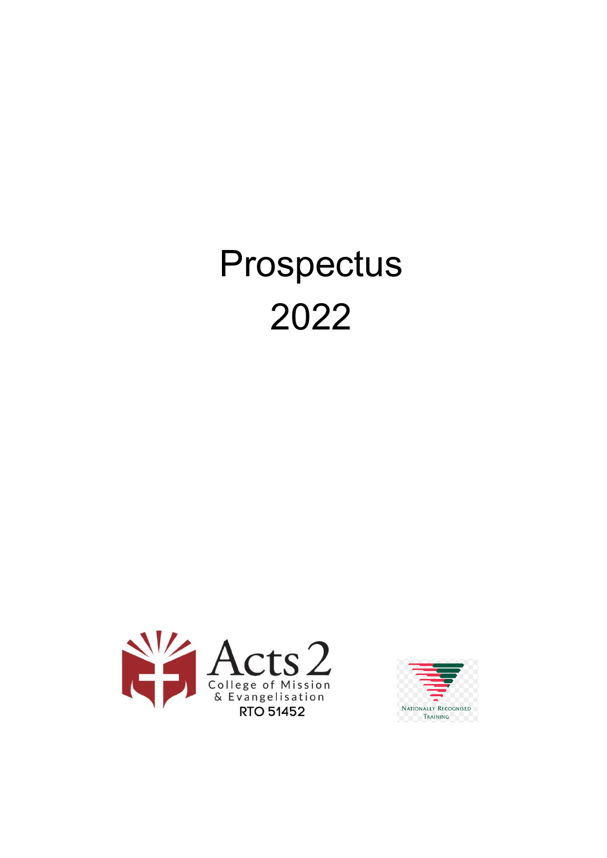# Prospectus 2022



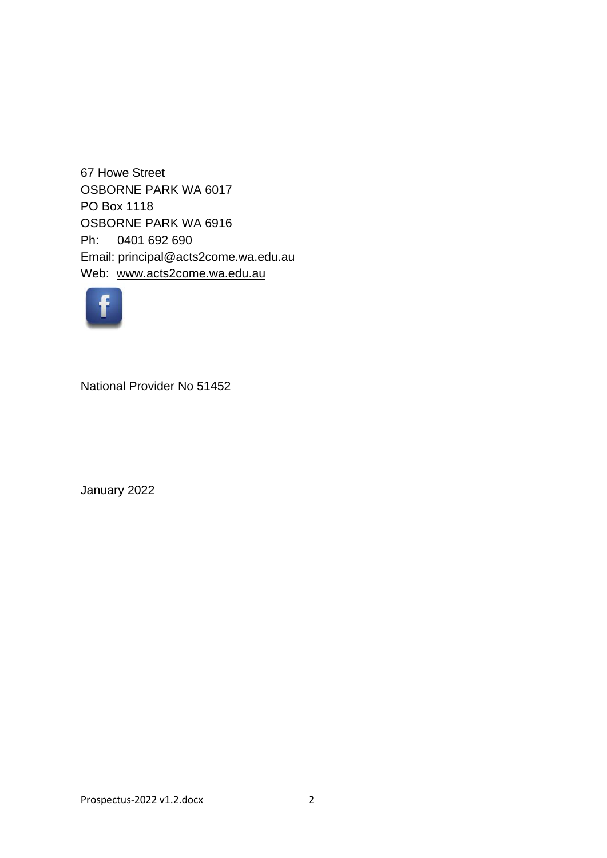67 Howe Street OSBORNE PARK WA 6017 PO Box 1118 OSBORNE PARK WA 6916 Ph: 0401 692 690 Email: [principal@acts2come.wa.edu.au](mailto:principal@acts2come.wa.edu.au) Web: [www.acts2come.wa.edu.au](http://www.acts2come.wa.edu.au/)



National Provider No 51452

January 2022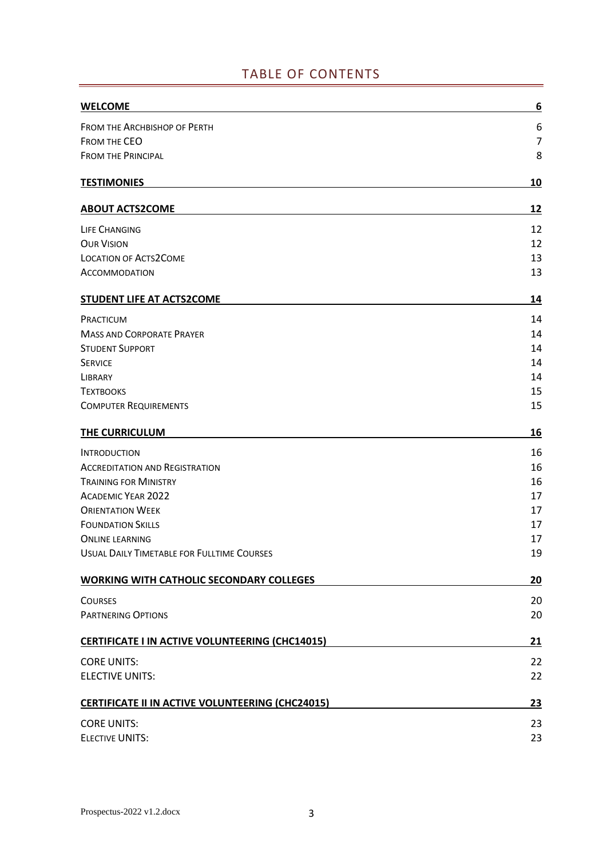# TABLE OF CONTENTS

| <b>WELCOME</b>                                          | <u>6</u>       |
|---------------------------------------------------------|----------------|
| <b>FROM THE ARCHBISHOP OF PERTH</b>                     | 6              |
| <b>FROM THE CEO</b>                                     | $\overline{7}$ |
| <b>FROM THE PRINCIPAL</b>                               | 8              |
| <b>TESTIMONIES</b>                                      | 10             |
| <b>ABOUT ACTS2COME</b>                                  | 12             |
| <b>LIFE CHANGING</b>                                    | 12             |
| <b>OUR VISION</b>                                       | 12             |
| <b>LOCATION OF ACTS2COME</b>                            | 13             |
| <b>ACCOMMODATION</b>                                    | 13             |
| STUDENT LIFE AT ACTS2COME                               | 14             |
| PRACTICUM                                               | 14             |
| <b>MASS AND CORPORATE PRAYER</b>                        | 14             |
| <b>STUDENT SUPPORT</b>                                  | 14             |
| <b>SERVICE</b>                                          | 14             |
| LIBRARY                                                 | 14             |
| <b>TEXTBOOKS</b>                                        | 15             |
| <b>COMPUTER REQUIREMENTS</b>                            | 15             |
| THE CURRICULUM                                          | 16             |
| <b>INTRODUCTION</b>                                     | 16             |
| <b>ACCREDITATION AND REGISTRATION</b>                   | 16             |
| <b>TRAINING FOR MINISTRY</b>                            | 16             |
| <b>ACADEMIC YEAR 2022</b>                               | 17             |
| <b>ORIENTATION WEEK</b>                                 | 17             |
| <b>FOUNDATION SKILLS</b>                                | 17             |
| <b>ONLINE LEARNING</b>                                  | 17             |
| <b>USUAL DAILY TIMETABLE FOR FULLTIME COURSES</b>       | 19             |
| <b>WORKING WITH CATHOLIC SECONDARY COLLEGES</b>         | 20             |
| <b>COURSES</b>                                          | 20             |
| PARTNERING OPTIONS                                      | 20             |
| <b>CERTIFICATE I IN ACTIVE VOLUNTEERING (CHC14015)</b>  | 21             |
| <b>CORE UNITS:</b>                                      | 22             |
| <b>ELECTIVE UNITS:</b>                                  | 22             |
| <b>CERTIFICATE II IN ACTIVE VOLUNTEERING (CHC24015)</b> | 23             |
| <b>CORE UNITS:</b>                                      | 23             |
| <b>ELECTIVE UNITS:</b>                                  | 23             |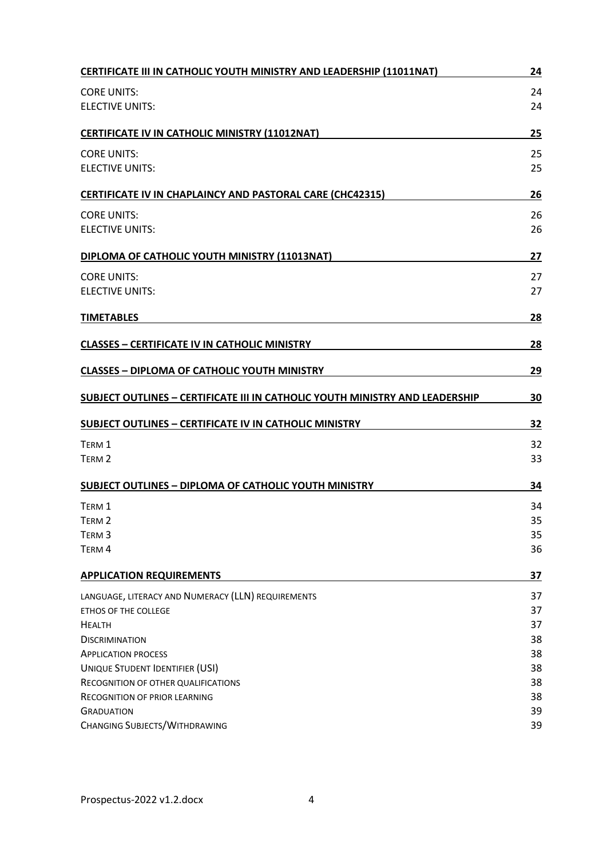| <b>CERTIFICATE III IN CATHOLIC YOUTH MINISTRY AND LEADERSHIP (11011NAT)</b>  | 24        |
|------------------------------------------------------------------------------|-----------|
| <b>CORE UNITS:</b>                                                           | 24        |
| <b>ELECTIVE UNITS:</b>                                                       | 24        |
| <b>CERTIFICATE IV IN CATHOLIC MINISTRY (11012NAT)</b>                        | 25        |
| <b>CORE UNITS:</b>                                                           | 25        |
| <b>ELECTIVE UNITS:</b>                                                       | 25        |
| CERTIFICATE IV IN CHAPLAINCY AND PASTORAL CARE (CHC42315)                    | 26        |
| <b>CORE UNITS:</b>                                                           | 26        |
| <b>ELECTIVE UNITS:</b>                                                       | 26        |
| DIPLOMA OF CATHOLIC YOUTH MINISTRY (11013NAT)                                | 27        |
| <b>CORE UNITS:</b>                                                           | 27        |
| <b>ELECTIVE UNITS:</b>                                                       | 27        |
| <b>TIMETABLES</b>                                                            | 28        |
| <b>CLASSES - CERTIFICATE IV IN CATHOLIC MINISTRY</b>                         | 28        |
| <b>CLASSES - DIPLOMA OF CATHOLIC YOUTH MINISTRY</b>                          | 29        |
| SUBJECT OUTLINES - CERTIFICATE III IN CATHOLIC YOUTH MINISTRY AND LEADERSHIP | 30        |
| <b>SUBJECT OUTLINES - CERTIFICATE IV IN CATHOLIC MINISTRY</b>                | 32        |
| TERM 1                                                                       | 32        |
| TERM <sub>2</sub>                                                            | 33        |
| <b>SUBJECT OUTLINES - DIPLOMA OF CATHOLIC YOUTH MINISTRY</b>                 | 34        |
| TERM 1                                                                       | 34        |
| TERM <sub>2</sub>                                                            | 35        |
| TERM <sub>3</sub>                                                            | 35        |
| TERM 4                                                                       | 36        |
| <b>APPLICATION REQUIREMENTS</b>                                              | <u>37</u> |
| LANGUAGE, LITERACY AND NUMERACY (LLN) REQUIREMENTS                           | 37        |
| ETHOS OF THE COLLEGE                                                         | 37        |
| <b>HEALTH</b>                                                                | 37        |
| <b>DISCRIMINATION</b>                                                        | 38        |
| <b>APPLICATION PROCESS</b>                                                   | 38        |
| <b>UNIQUE STUDENT IDENTIFIER (USI)</b>                                       | 38        |
| RECOGNITION OF OTHER QUALIFICATIONS                                          | 38        |
| <b>RECOGNITION OF PRIOR LEARNING</b>                                         | 38        |
| <b>GRADUATION</b>                                                            | 39        |
| <b>CHANGING SUBJECTS/WITHDRAWING</b>                                         | 39        |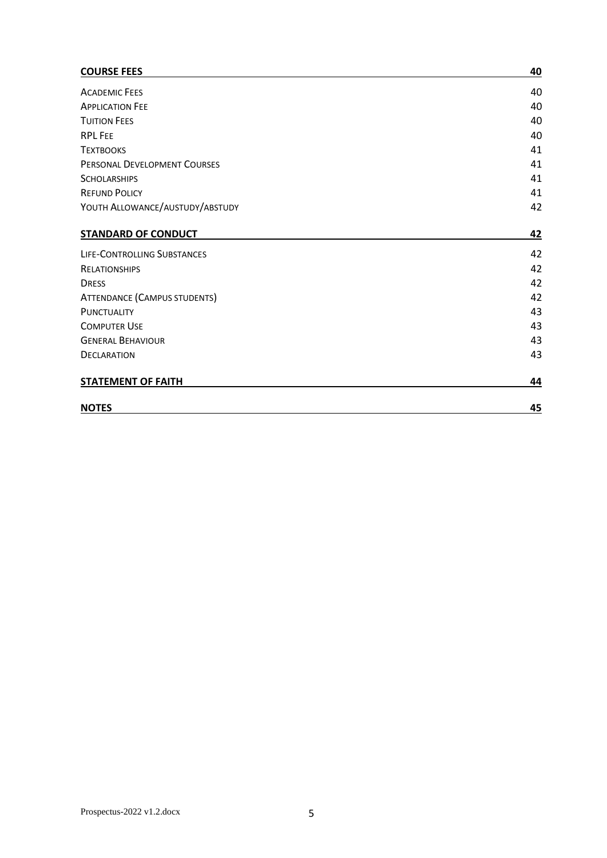#### **[COURSE FEES](#page-39-0) 40**

| <b>ACADEMIC FEES</b>                | 40 |
|-------------------------------------|----|
| <b>APPLICATION FEE</b>              | 40 |
| <b>TUITION FEES</b>                 | 40 |
| <b>RPL FEE</b>                      | 40 |
| <b>TEXTBOOKS</b>                    | 41 |
| PERSONAL DEVELOPMENT COURSES        | 41 |
| <b>SCHOLARSHIPS</b>                 | 41 |
| <b>REFUND POLICY</b>                | 41 |
| YOUTH ALLOWANCE/AUSTUDY/ABSTUDY     | 42 |
| <b>STANDARD OF CONDUCT</b>          | 42 |
| <b>LIFE-CONTROLLING SUBSTANCES</b>  | 42 |
| <b>RELATIONSHIPS</b>                | 42 |
| <b>DRESS</b>                        | 42 |
| <b>ATTENDANCE (CAMPUS STUDENTS)</b> | 42 |
| <b>PUNCTUALITY</b>                  | 43 |
| <b>COMPUTER USE</b>                 | 43 |
| <b>GENERAL BEHAVIOUR</b>            | 43 |
| <b>DECLARATION</b>                  | 43 |
| <b>STATEMENT OF FAITH</b>           | 44 |
| <b>NOTES</b>                        | 45 |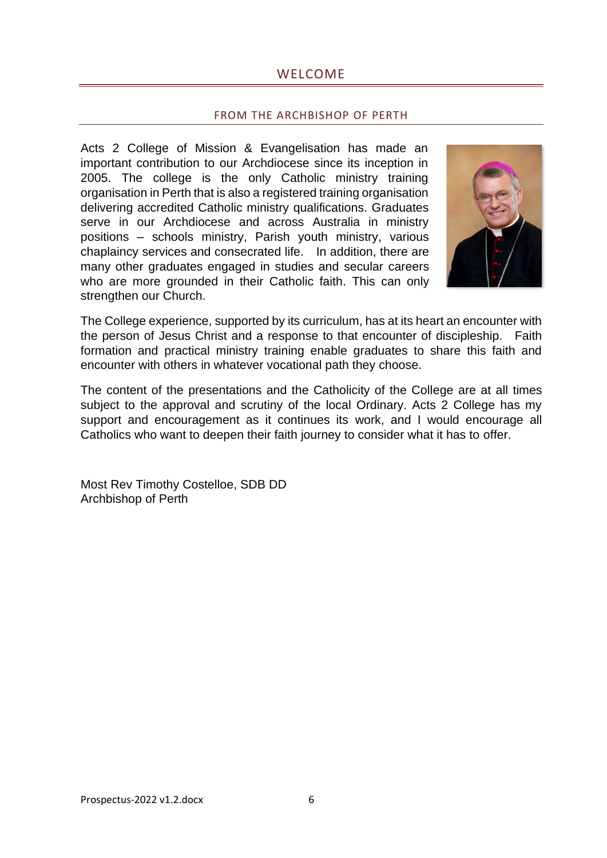# WELCOME

#### FROM THE ARCHBISHOP OF PERTH

<span id="page-5-1"></span><span id="page-5-0"></span>Acts 2 College of Mission & Evangelisation has made an important contribution to our Archdiocese since its inception in 2005. The college is the only Catholic ministry training organisation in Perth that is also a registered training organisation delivering accredited Catholic ministry qualifications. Graduates serve in our Archdiocese and across Australia in ministry positions – schools ministry, Parish youth ministry, various chaplaincy services and consecrated life. In addition, there are many other graduates engaged in studies and secular careers who are more grounded in their Catholic faith. This can only strengthen our Church.



The College experience, supported by its curriculum, has at its heart an encounter with the person of Jesus Christ and a response to that encounter of discipleship. Faith formation and practical ministry training enable graduates to share this faith and encounter with others in whatever vocational path they choose.

The content of the presentations and the Catholicity of the College are at all times subject to the approval and scrutiny of the local Ordinary. Acts 2 College has my support and encouragement as it continues its work, and I would encourage all Catholics who want to deepen their faith journey to consider what it has to offer.

Most Rev Timothy Costelloe, SDB DD Archbishop of Perth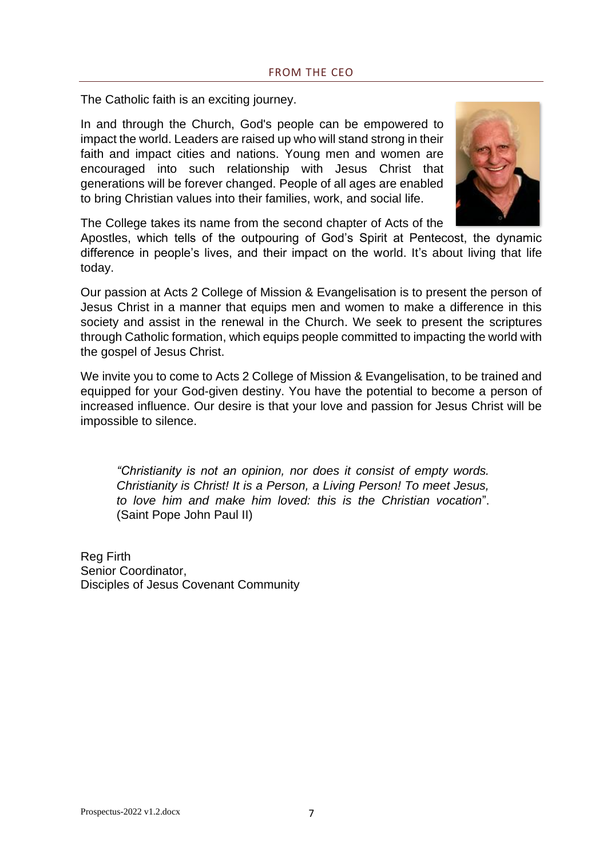<span id="page-6-0"></span>The Catholic faith is an exciting journey.

In and through the Church, God's people can be empowered to impact the world. Leaders are raised up who will stand strong in their faith and impact cities and nations. Young men and women are encouraged into such relationship with Jesus Christ that generations will be forever changed. People of all ages are enabled to bring Christian values into their families, work, and social life.



The College takes its name from the second chapter of Acts of the

Apostles, which tells of the outpouring of God's Spirit at Pentecost, the dynamic difference in people's lives, and their impact on the world. It's about living that life today.

Our passion at Acts 2 College of Mission & Evangelisation is to present the person of Jesus Christ in a manner that equips men and women to make a difference in this society and assist in the renewal in the Church. We seek to present the scriptures through Catholic formation, which equips people committed to impacting the world with the gospel of Jesus Christ.

We invite you to come to Acts 2 College of Mission & Evangelisation, to be trained and equipped for your God-given destiny. You have the potential to become a person of increased influence. Our desire is that your love and passion for Jesus Christ will be impossible to silence.

*"Christianity is not an opinion, nor does it consist of empty words. Christianity is Christ! It is a Person, a Living Person! To meet Jesus, to love him and make him loved: this is the Christian vocation*". (Saint Pope John Paul II)

Reg Firth Senior Coordinator, Disciples of Jesus Covenant Community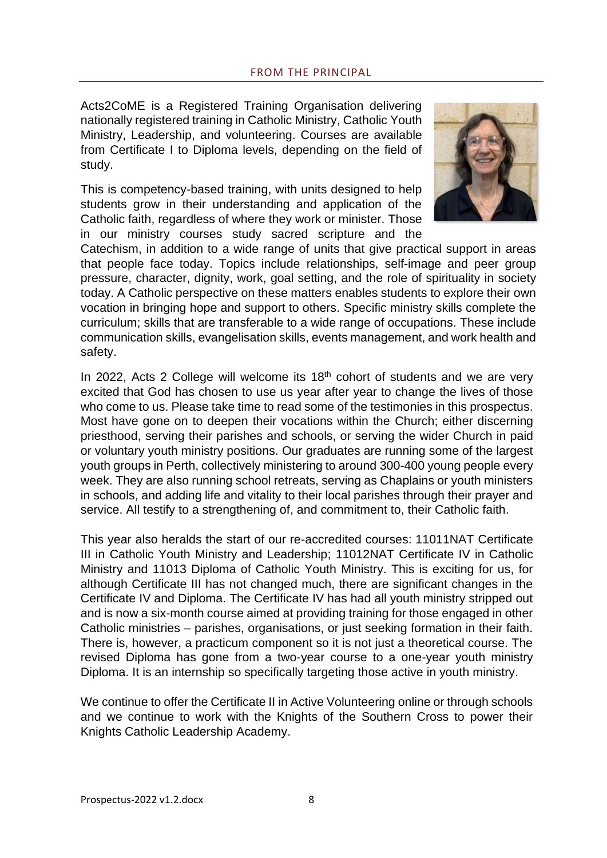<span id="page-7-0"></span>Acts2CoME is a Registered Training Organisation delivering nationally registered training in Catholic Ministry, Catholic Youth Ministry, Leadership, and volunteering. Courses are available from Certificate I to Diploma levels, depending on the field of study.

This is competency-based training, with units designed to help students grow in their understanding and application of the Catholic faith, regardless of where they work or minister. Those in our ministry courses study sacred scripture and the



Catechism, in addition to a wide range of units that give practical support in areas that people face today. Topics include relationships, self-image and peer group pressure, character, dignity, work, goal setting, and the role of spirituality in society today. A Catholic perspective on these matters enables students to explore their own vocation in bringing hope and support to others. Specific ministry skills complete the curriculum; skills that are transferable to a wide range of occupations. These include communication skills, evangelisation skills, events management, and work health and safety.

In 2022, Acts 2 College will welcome its 18<sup>th</sup> cohort of students and we are very excited that God has chosen to use us year after year to change the lives of those who come to us. Please take time to read some of the testimonies in this prospectus. Most have gone on to deepen their vocations within the Church; either discerning priesthood, serving their parishes and schools, or serving the wider Church in paid or voluntary youth ministry positions. Our graduates are running some of the largest youth groups in Perth, collectively ministering to around 300-400 young people every week. They are also running school retreats, serving as Chaplains or youth ministers in schools, and adding life and vitality to their local parishes through their prayer and service. All testify to a strengthening of, and commitment to, their Catholic faith.

This year also heralds the start of our re-accredited courses: 11011NAT Certificate III in Catholic Youth Ministry and Leadership; 11012NAT Certificate IV in Catholic Ministry and 11013 Diploma of Catholic Youth Ministry. This is exciting for us, for although Certificate III has not changed much, there are significant changes in the Certificate IV and Diploma. The Certificate IV has had all youth ministry stripped out and is now a six-month course aimed at providing training for those engaged in other Catholic ministries – parishes, organisations, or just seeking formation in their faith. There is, however, a practicum component so it is not just a theoretical course. The revised Diploma has gone from a two-year course to a one-year youth ministry Diploma. It is an internship so specifically targeting those active in youth ministry.

We continue to offer the Certificate II in Active Volunteering online or through schools and we continue to work with the Knights of the Southern Cross to power their Knights Catholic Leadership Academy.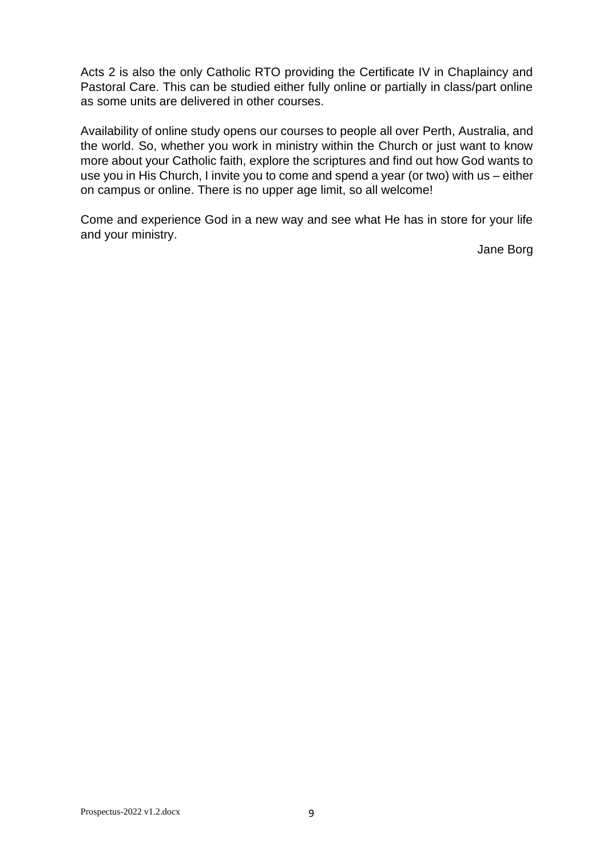Acts 2 is also the only Catholic RTO providing the Certificate IV in Chaplaincy and Pastoral Care. This can be studied either fully online or partially in class/part online as some units are delivered in other courses.

Availability of online study opens our courses to people all over Perth, Australia, and the world. So, whether you work in ministry within the Church or just want to know more about your Catholic faith, explore the scriptures and find out how God wants to use you in His Church, I invite you to come and spend a year (or two) with us – either on campus or online. There is no upper age limit, so all welcome!

Come and experience God in a new way and see what He has in store for your life and your ministry.

Jane Borg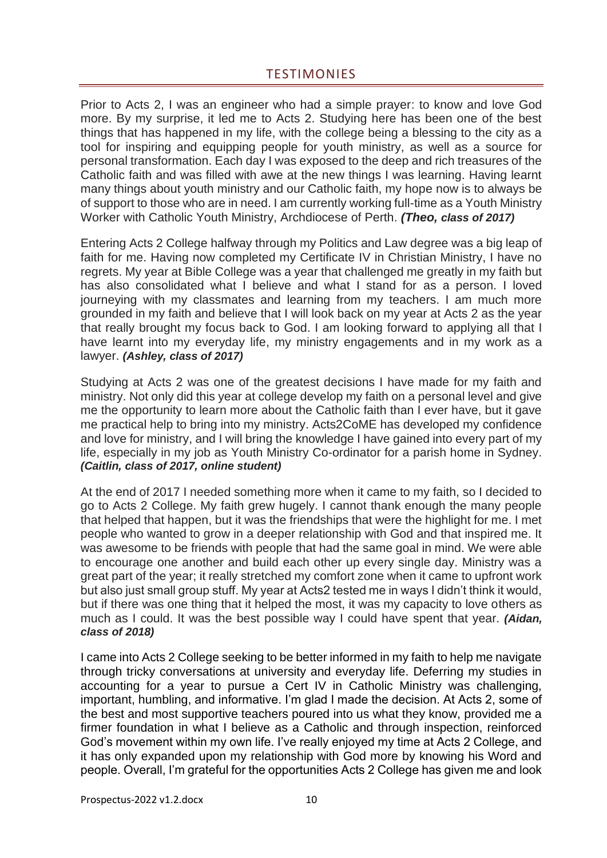<span id="page-9-0"></span>Prior to Acts 2, I was an engineer who had a simple prayer: to know and love God more. By my surprise, it led me to Acts 2. Studying here has been one of the best things that has happened in my life, with the college being a blessing to the city as a tool for inspiring and equipping people for youth ministry, as well as a source for personal transformation. Each day I was exposed to the deep and rich treasures of the Catholic faith and was filled with awe at the new things I was learning. Having learnt many things about youth ministry and our Catholic faith, my hope now is to always be of support to those who are in need. I am currently working full-time as a Youth Ministry Worker with Catholic Youth Ministry, Archdiocese of Perth. *(Theo, class of 2017)*

Entering Acts 2 College halfway through my Politics and Law degree was a big leap of faith for me. Having now completed my Certificate IV in Christian Ministry, I have no regrets. My year at Bible College was a year that challenged me greatly in my faith but has also consolidated what I believe and what I stand for as a person. I loved journeying with my classmates and learning from my teachers. I am much more grounded in my faith and believe that I will look back on my year at Acts 2 as the year that really brought my focus back to God. I am looking forward to applying all that I have learnt into my everyday life, my ministry engagements and in my work as a lawyer. *(Ashley, class of 2017)*

Studying at Acts 2 was one of the greatest decisions I have made for my faith and ministry. Not only did this year at college develop my faith on a personal level and give me the opportunity to learn more about the Catholic faith than I ever have, but it gave me practical help to bring into my ministry. Acts2CoME has developed my confidence and love for ministry, and I will bring the knowledge I have gained into every part of my life, especially in my job as Youth Ministry Co-ordinator for a parish home in Sydney. *(Caitlin, class of 2017, online student)*

At the end of 2017 I needed something more when it came to my faith, so I decided to go to Acts 2 College. My faith grew hugely. I cannot thank enough the many people that helped that happen, but it was the friendships that were the highlight for me. I met people who wanted to grow in a deeper relationship with God and that inspired me. It was awesome to be friends with people that had the same goal in mind. We were able to encourage one another and build each other up every single day. Ministry was a great part of the year; it really stretched my comfort zone when it came to upfront work but also just small group stuff. My year at Acts2 tested me in ways I didn't think it would, but if there was one thing that it helped the most, it was my capacity to love others as much as I could. It was the best possible way I could have spent that year. *(Aidan, class of 2018)*

I came into Acts 2 College seeking to be better informed in my faith to help me navigate through tricky conversations at university and everyday life. Deferring my studies in accounting for a year to pursue a Cert IV in Catholic Ministry was challenging, important, humbling, and informative. I'm glad I made the decision. At Acts 2, some of the best and most supportive teachers poured into us what they know, provided me a firmer foundation in what I believe as a Catholic and through inspection, reinforced God's movement within my own life. I've really enjoyed my time at Acts 2 College, and it has only expanded upon my relationship with God more by knowing his Word and people. Overall, I'm grateful for the opportunities Acts 2 College has given me and look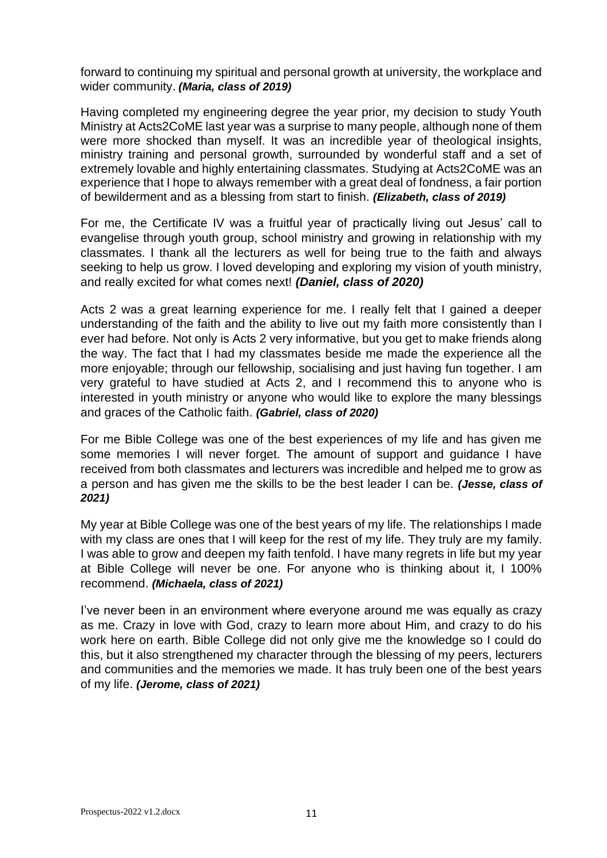forward to continuing my spiritual and personal growth at university, the workplace and wider community. *(Maria, class of 2019)*

Having completed my engineering degree the year prior, my decision to study Youth Ministry at Acts2CoME last year was a surprise to many people, although none of them were more shocked than myself. It was an incredible year of theological insights, ministry training and personal growth, surrounded by wonderful staff and a set of extremely lovable and highly entertaining classmates. Studying at Acts2CoME was an experience that I hope to always remember with a great deal of fondness, a fair portion of bewilderment and as a blessing from start to finish. *(Elizabeth, class of 2019)*

For me, the Certificate IV was a fruitful year of practically living out Jesus' call to evangelise through youth group, school ministry and growing in relationship with my classmates. I thank all the lecturers as well for being true to the faith and always seeking to help us grow. I loved developing and exploring my vision of youth ministry, and really excited for what comes next! *(Daniel, class of 2020)*

Acts 2 was a great learning experience for me. I really felt that I gained a deeper understanding of the faith and the ability to live out my faith more consistently than I ever had before. Not only is Acts 2 very informative, but you get to make friends along the way. The fact that I had my classmates beside me made the experience all the more enjoyable; through our fellowship, socialising and just having fun together. I am very grateful to have studied at Acts 2, and I recommend this to anyone who is interested in youth ministry or anyone who would like to explore the many blessings and graces of the Catholic faith. *(Gabriel, class of 2020)*

For me Bible College was one of the best experiences of my life and has given me some memories I will never forget. The amount of support and guidance I have received from both classmates and lecturers was incredible and helped me to grow as a person and has given me the skills to be the best leader I can be. *(Jesse, class of 2021)*

My year at Bible College was one of the best years of my life. The relationships I made with my class are ones that I will keep for the rest of my life. They truly are my family. I was able to grow and deepen my faith tenfold. I have many regrets in life but my year at Bible College will never be one. For anyone who is thinking about it, I 100% recommend. *(Michaela, class of 2021)*

I've never been in an environment where everyone around me was equally as crazy as me. Crazy in love with God, crazy to learn more about Him, and crazy to do his work here on earth. Bible College did not only give me the knowledge so I could do this, but it also strengthened my character through the blessing of my peers, lecturers and communities and the memories we made. It has truly been one of the best years of my life. *(Jerome, class of 2021)*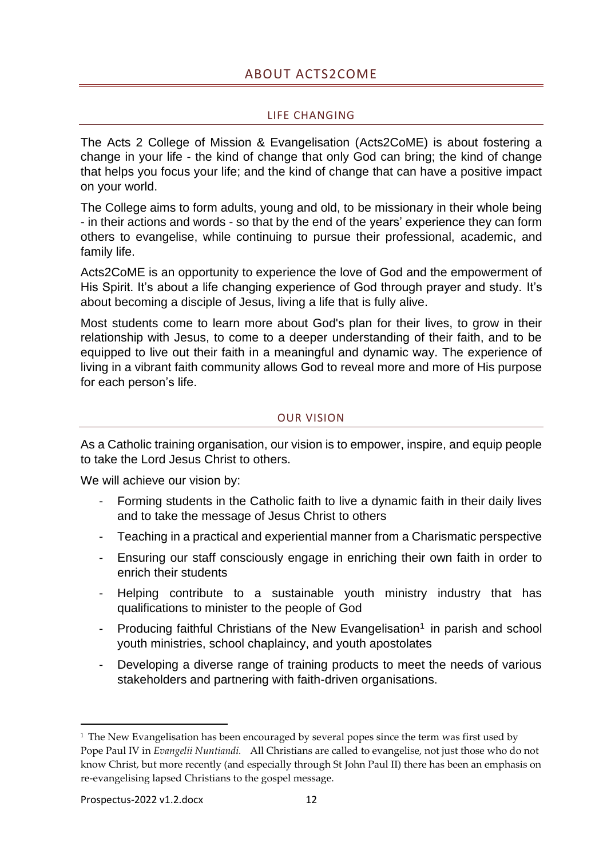# ABOUT ACTS2COME

#### LIFE CHANGING

<span id="page-11-1"></span><span id="page-11-0"></span>The Acts 2 College of Mission & Evangelisation (Acts2CoME) is about fostering a change in your life - the kind of change that only God can bring; the kind of change that helps you focus your life; and the kind of change that can have a positive impact on your world.

The College aims to form adults, young and old, to be missionary in their whole being - in their actions and words - so that by the end of the years' experience they can form others to evangelise, while continuing to pursue their professional, academic, and family life.

Acts2CoME is an opportunity to experience the love of God and the empowerment of His Spirit. It's about a life changing experience of God through prayer and study. It's about becoming a disciple of Jesus, living a life that is fully alive.

Most students come to learn more about God's plan for their lives, to grow in their relationship with Jesus, to come to a deeper understanding of their faith, and to be equipped to live out their faith in a meaningful and dynamic way. The experience of living in a vibrant faith community allows God to reveal more and more of His purpose for each person's life.

#### OUR VISION

<span id="page-11-2"></span>As a Catholic training organisation, our vision is to empower, inspire, and equip people to take the Lord Jesus Christ to others.

We will achieve our vision by:

- Forming students in the Catholic faith to live a dynamic faith in their daily lives and to take the message of Jesus Christ to others
- Teaching in a practical and experiential manner from a Charismatic perspective
- Ensuring our staff consciously engage in enriching their own faith in order to enrich their students
- Helping contribute to a sustainable youth ministry industry that has qualifications to minister to the people of God
- Producing faithful Christians of the New Evangelisation<sup>1</sup> in parish and school youth ministries, school chaplaincy, and youth apostolates
- Developing a diverse range of training products to meet the needs of various stakeholders and partnering with faith-driven organisations.

 $1$  The New Evangelisation has been encouraged by several popes since the term was first used by Pope Paul IV in *Evangelii Nuntiandi.* All Christians are called to evangelise, not just those who do not know Christ, but more recently (and especially through St John Paul II) there has been an emphasis on re-evangelising lapsed Christians to the gospel message.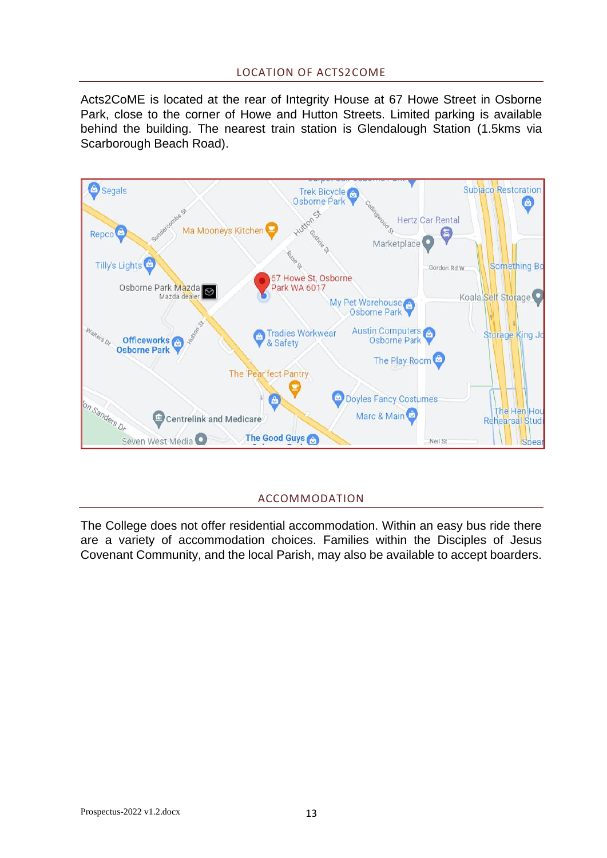#### LOCATION OF ACTS2COME

<span id="page-12-0"></span>Acts2CoME is located at the rear of Integrity House at 67 Howe Street in Osborne Park, close to the corner of Howe and Hutton Streets. Limited parking is available behind the building. The nearest train station is Glendalough Station (1.5kms via Scarborough Beach Road).



# ACCOMMODATION

<span id="page-12-1"></span>The College does not offer residential accommodation. Within an easy bus ride there are a variety of accommodation choices. Families within the Disciples of Jesus Covenant Community, and the local Parish, may also be available to accept boarders.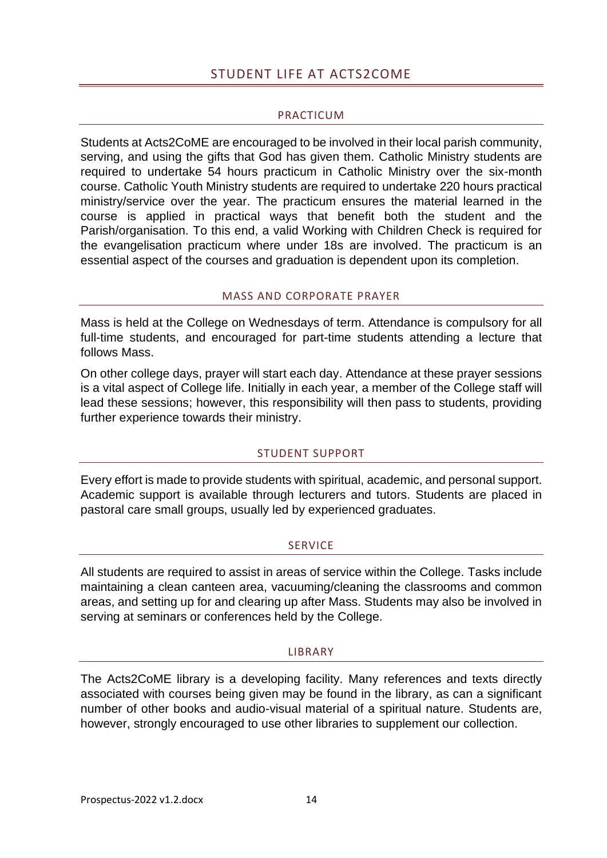# STUDENT LIFE AT ACTS2COME

#### PRACTICUM

<span id="page-13-1"></span><span id="page-13-0"></span>Students at Acts2CoME are encouraged to be involved in their local parish community, serving, and using the gifts that God has given them. Catholic Ministry students are required to undertake 54 hours practicum in Catholic Ministry over the six-month course. Catholic Youth Ministry students are required to undertake 220 hours practical ministry/service over the year. The practicum ensures the material learned in the course is applied in practical ways that benefit both the student and the Parish/organisation. To this end, a valid Working with Children Check is required for the evangelisation practicum where under 18s are involved. The practicum is an essential aspect of the courses and graduation is dependent upon its completion.

#### MASS AND CORPORATE PRAYER

<span id="page-13-2"></span>Mass is held at the College on Wednesdays of term. Attendance is compulsory for all full-time students, and encouraged for part-time students attending a lecture that follows Mass.

On other college days, prayer will start each day. Attendance at these prayer sessions is a vital aspect of College life. Initially in each year, a member of the College staff will lead these sessions; however, this responsibility will then pass to students, providing further experience towards their ministry.

# STUDENT SUPPORT

<span id="page-13-3"></span>Every effort is made to provide students with spiritual, academic, and personal support. Academic support is available through lecturers and tutors. Students are placed in pastoral care small groups, usually led by experienced graduates.

# **SERVICE**

<span id="page-13-4"></span>All students are required to assist in areas of service within the College. Tasks include maintaining a clean canteen area, vacuuming/cleaning the classrooms and common areas, and setting up for and clearing up after Mass. Students may also be involved in serving at seminars or conferences held by the College.

#### LIBRARY

<span id="page-13-5"></span>The Acts2CoME library is a developing facility. Many references and texts directly associated with courses being given may be found in the library, as can a significant number of other books and audio-visual material of a spiritual nature. Students are, however, strongly encouraged to use other libraries to supplement our collection.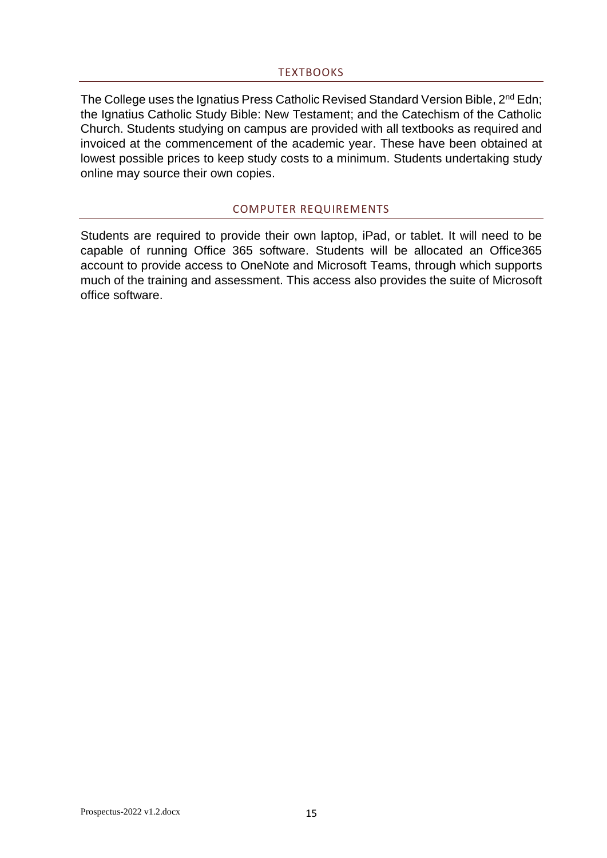#### TEXTBOOKS

<span id="page-14-0"></span>The College uses the Ignatius Press Catholic Revised Standard Version Bible, 2<sup>nd</sup> Edn; the Ignatius Catholic Study Bible: New Testament; and the Catechism of the Catholic Church. Students studying on campus are provided with all textbooks as required and invoiced at the commencement of the academic year. These have been obtained at lowest possible prices to keep study costs to a minimum. Students undertaking study online may source their own copies.

#### COMPUTER REQUIREMENTS

<span id="page-14-1"></span>Students are required to provide their own laptop, iPad, or tablet. It will need to be capable of running Office 365 software. Students will be allocated an Office365 account to provide access to OneNote and Microsoft Teams, through which supports much of the training and assessment. This access also provides the suite of Microsoft office software.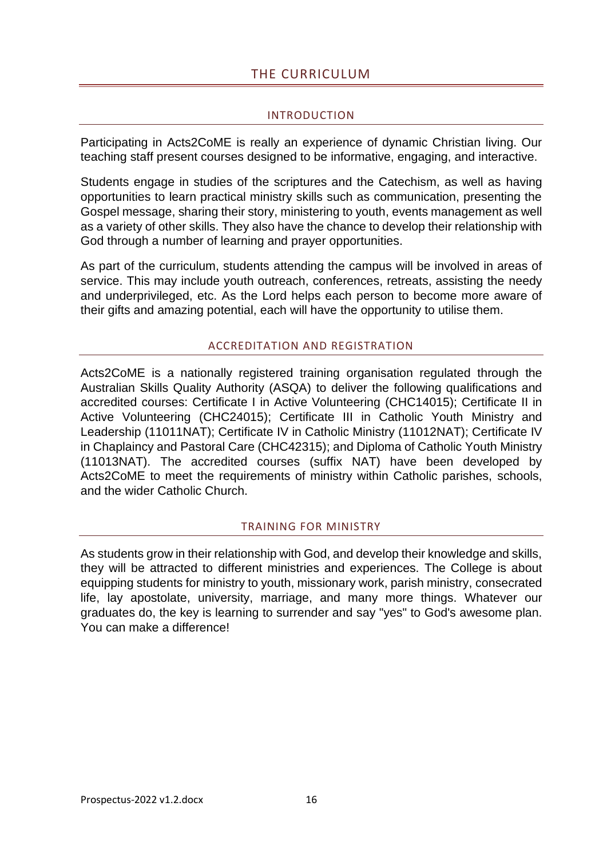# THE CURRICULUM

#### INTRODUCTION

<span id="page-15-1"></span><span id="page-15-0"></span>Participating in Acts2CoME is really an experience of dynamic Christian living. Our teaching staff present courses designed to be informative, engaging, and interactive.

Students engage in studies of the scriptures and the Catechism, as well as having opportunities to learn practical ministry skills such as communication, presenting the Gospel message, sharing their story, ministering to youth, events management as well as a variety of other skills. They also have the chance to develop their relationship with God through a number of learning and prayer opportunities.

As part of the curriculum, students attending the campus will be involved in areas of service. This may include youth outreach, conferences, retreats, assisting the needy and underprivileged, etc. As the Lord helps each person to become more aware of their gifts and amazing potential, each will have the opportunity to utilise them.

#### ACCREDITATION AND REGISTRATION

<span id="page-15-2"></span>Acts2CoME is a nationally registered training organisation regulated through the Australian Skills Quality Authority (ASQA) to deliver the following qualifications and accredited courses: Certificate I in Active Volunteering (CHC14015); Certificate II in Active Volunteering (CHC24015); Certificate III in Catholic Youth Ministry and Leadership (11011NAT); Certificate IV in Catholic Ministry (11012NAT); Certificate IV in Chaplaincy and Pastoral Care (CHC42315); and Diploma of Catholic Youth Ministry (11013NAT). The accredited courses (suffix NAT) have been developed by Acts2CoME to meet the requirements of ministry within Catholic parishes, schools, and the wider Catholic Church.

#### TRAINING FOR MINISTRY

<span id="page-15-3"></span>As students grow in their relationship with God, and develop their knowledge and skills, they will be attracted to different ministries and experiences. The College is about equipping students for ministry to youth, missionary work, parish ministry, consecrated life, lay apostolate, university, marriage, and many more things. Whatever our graduates do, the key is learning to surrender and say "yes" to God's awesome plan. You can make a difference!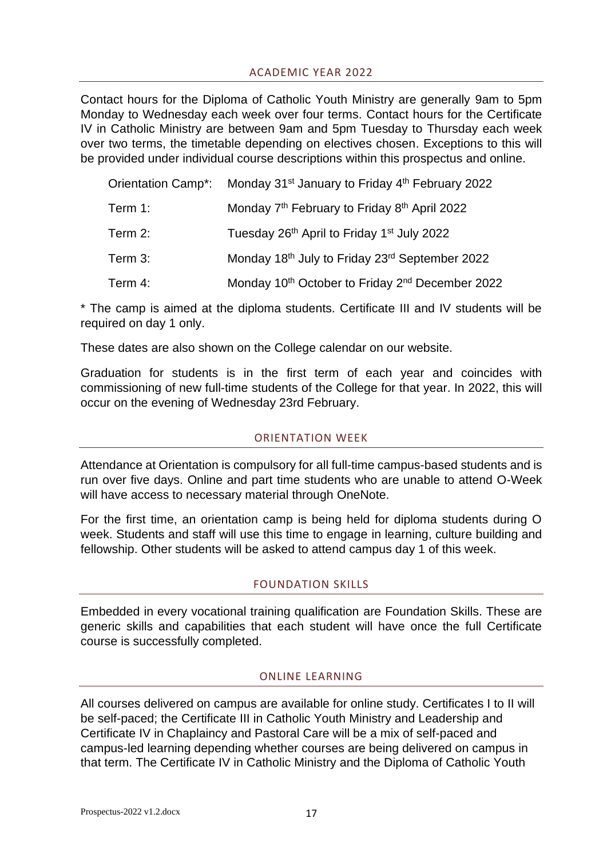# ACADEMIC YEAR 2022

<span id="page-16-0"></span>Contact hours for the Diploma of Catholic Youth Ministry are generally 9am to 5pm Monday to Wednesday each week over four terms. Contact hours for the Certificate IV in Catholic Ministry are between 9am and 5pm Tuesday to Thursday each week over two terms, the timetable depending on electives chosen. Exceptions to this will be provided under individual course descriptions within this prospectus and online.

|         | Orientation Camp*: Monday 31 <sup>st</sup> January to Friday 4 <sup>th</sup> February 2022 |
|---------|--------------------------------------------------------------------------------------------|
| Term 1: | Monday 7 <sup>th</sup> February to Friday 8 <sup>th</sup> April 2022                       |
| Term 2: | Tuesday 26 <sup>th</sup> April to Friday 1 <sup>st</sup> July 2022                         |
| Term 3: | Monday 18th July to Friday 23rd September 2022                                             |
| Term 4: | Monday 10 <sup>th</sup> October to Friday 2 <sup>nd</sup> December 2022                    |

\* The camp is aimed at the diploma students. Certificate III and IV students will be required on day 1 only.

These dates are also shown on the College calendar on our website.

Graduation for students is in the first term of each year and coincides with commissioning of new full-time students of the College for that year. In 2022, this will occur on the evening of Wednesday 23rd February.

# ORIENTATION WEEK

<span id="page-16-1"></span>Attendance at Orientation is compulsory for all full-time campus-based students and is run over five days. Online and part time students who are unable to attend O-Week will have access to necessary material through OneNote.

For the first time, an orientation camp is being held for diploma students during O week. Students and staff will use this time to engage in learning, culture building and fellowship. Other students will be asked to attend campus day 1 of this week.

#### FOUNDATION SKILLS

<span id="page-16-2"></span>Embedded in every vocational training qualification are Foundation Skills. These are generic skills and capabilities that each student will have once the full Certificate course is successfully completed.

#### ONLINE LEARNING

<span id="page-16-3"></span>All courses delivered on campus are available for online study. Certificates I to II will be self-paced; the Certificate III in Catholic Youth Ministry and Leadership and Certificate IV in Chaplaincy and Pastoral Care will be a mix of self-paced and campus-led learning depending whether courses are being delivered on campus in that term. The Certificate IV in Catholic Ministry and the Diploma of Catholic Youth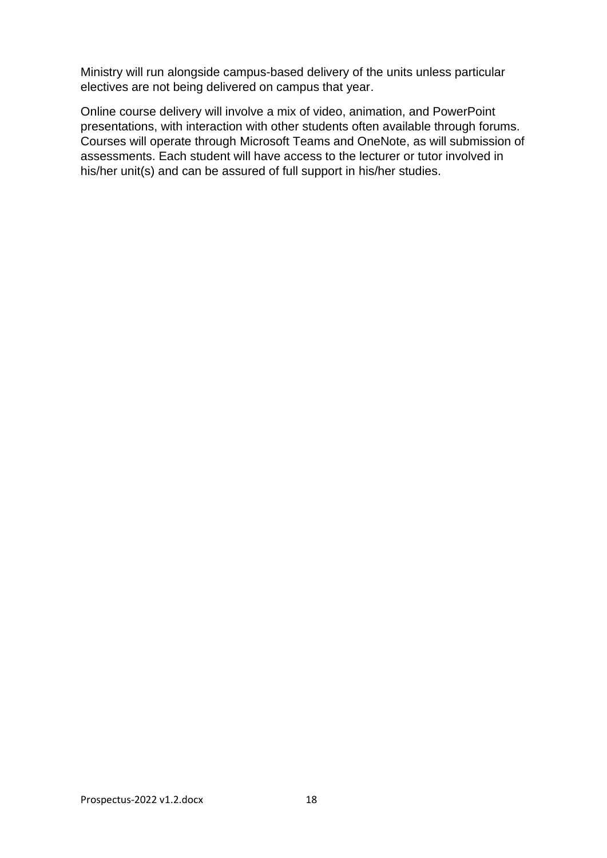Ministry will run alongside campus-based delivery of the units unless particular electives are not being delivered on campus that year.

Online course delivery will involve a mix of video, animation, and PowerPoint presentations, with interaction with other students often available through forums. Courses will operate through Microsoft Teams and OneNote, as will submission of assessments. Each student will have access to the lecturer or tutor involved in his/her unit(s) and can be assured of full support in his/her studies.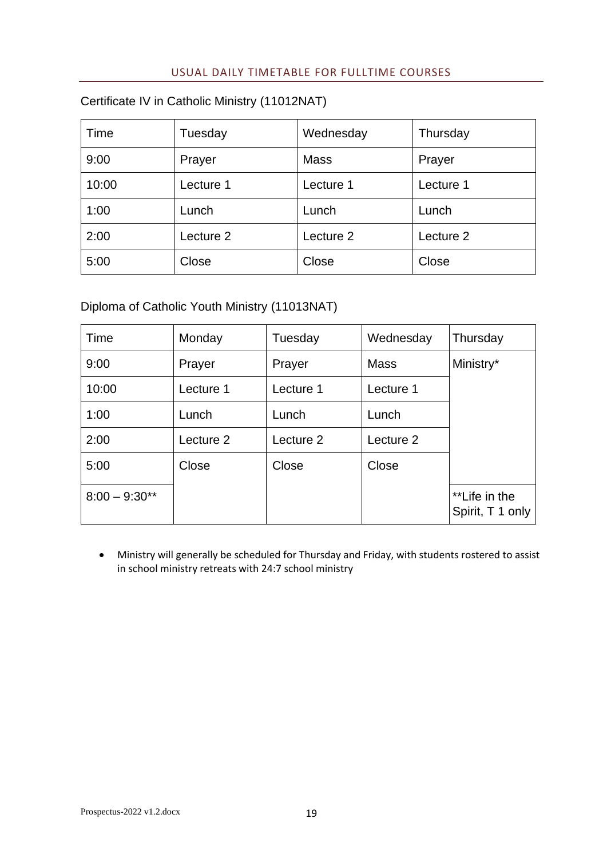# USUAL DAILY TIMETABLE FOR FULLTIME COURSES

# <span id="page-18-0"></span>Certificate IV in Catholic Ministry (11012NAT)

| Time  | Tuesday   | Wednesday   | Thursday  |
|-------|-----------|-------------|-----------|
| 9:00  | Prayer    | <b>Mass</b> | Prayer    |
| 10:00 | Lecture 1 | Lecture 1   | Lecture 1 |
| 1:00  | Lunch     | Lunch       | Lunch     |
| 2:00  | Lecture 2 | Lecture 2   | Lecture 2 |
| 5:00  | Close     | Close       | Close     |

# Diploma of Catholic Youth Ministry (11013NAT)

| Time            | Monday    | Tuesday   | Wednesday   | Thursday                          |
|-----------------|-----------|-----------|-------------|-----------------------------------|
| 9:00            | Prayer    | Prayer    | <b>Mass</b> | Ministry*                         |
| 10:00           | Lecture 1 | Lecture 1 | Lecture 1   |                                   |
| 1:00            | Lunch     | Lunch     | Lunch       |                                   |
| 2:00            | Lecture 2 | Lecture 2 | Lecture 2   |                                   |
| 5:00            | Close     | Close     | Close       |                                   |
| $8:00 - 9:30**$ |           |           |             | **Life in the<br>Spirit, T 1 only |

• Ministry will generally be scheduled for Thursday and Friday, with students rostered to assist in school ministry retreats with 24:7 school ministry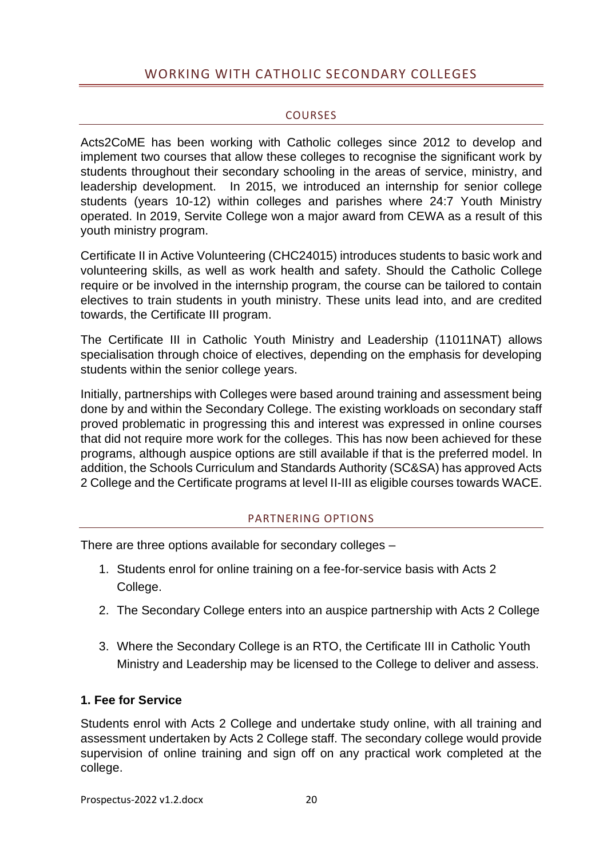# <span id="page-19-0"></span>WORKING WITH CATHOLIC SECONDARY COLLEGES

#### **COURSES**

<span id="page-19-1"></span>Acts2CoME has been working with Catholic colleges since 2012 to develop and implement two courses that allow these colleges to recognise the significant work by students throughout their secondary schooling in the areas of service, ministry, and leadership development. In 2015, we introduced an internship for senior college students (years 10-12) within colleges and parishes where 24:7 Youth Ministry operated. In 2019, Servite College won a major award from CEWA as a result of this youth ministry program.

Certificate II in Active Volunteering (CHC24015) introduces students to basic work and volunteering skills, as well as work health and safety. Should the Catholic College require or be involved in the internship program, the course can be tailored to contain electives to train students in youth ministry. These units lead into, and are credited towards, the Certificate III program.

The Certificate III in Catholic Youth Ministry and Leadership (11011NAT) allows specialisation through choice of electives, depending on the emphasis for developing students within the senior college years.

Initially, partnerships with Colleges were based around training and assessment being done by and within the Secondary College. The existing workloads on secondary staff proved problematic in progressing this and interest was expressed in online courses that did not require more work for the colleges. This has now been achieved for these programs, although auspice options are still available if that is the preferred model. In addition, the Schools Curriculum and Standards Authority (SC&SA) has approved Acts 2 College and the Certificate programs at level II-III as eligible courses towards WACE.

# PARTNERING OPTIONS

<span id="page-19-2"></span>There are three options available for secondary colleges –

- 1. Students enrol for online training on a fee-for-service basis with Acts 2 College.
- 2. The Secondary College enters into an auspice partnership with Acts 2 College
- 3. Where the Secondary College is an RTO, the Certificate III in Catholic Youth Ministry and Leadership may be licensed to the College to deliver and assess.

# **1. Fee for Service**

Students enrol with Acts 2 College and undertake study online, with all training and assessment undertaken by Acts 2 College staff. The secondary college would provide supervision of online training and sign off on any practical work completed at the college.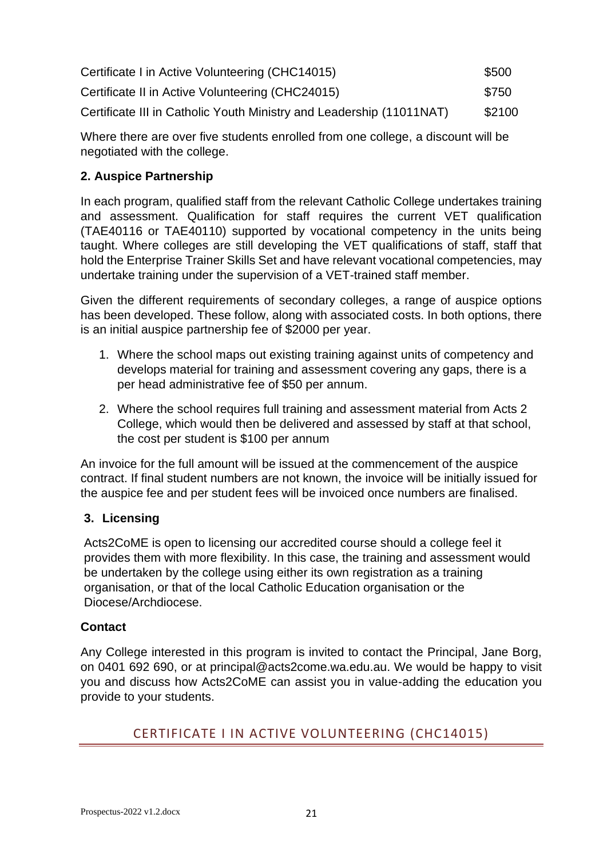| Certificate I in Active Volunteering (CHC14015)                      | \$500  |
|----------------------------------------------------------------------|--------|
| Certificate II in Active Volunteering (CHC24015)                     | \$750  |
| Certificate III in Catholic Youth Ministry and Leadership (11011NAT) | \$2100 |

Where there are over five students enrolled from one college, a discount will be negotiated with the college.

# **2. Auspice Partnership**

In each program, qualified staff from the relevant Catholic College undertakes training and assessment. Qualification for staff requires the current VET qualification (TAE40116 or TAE40110) supported by vocational competency in the units being taught. Where colleges are still developing the VET qualifications of staff, staff that hold the Enterprise Trainer Skills Set and have relevant vocational competencies, may undertake training under the supervision of a VET-trained staff member.

Given the different requirements of secondary colleges, a range of auspice options has been developed. These follow, along with associated costs. In both options, there is an initial auspice partnership fee of \$2000 per year.

- 1. Where the school maps out existing training against units of competency and develops material for training and assessment covering any gaps, there is a per head administrative fee of \$50 per annum.
- 2. Where the school requires full training and assessment material from Acts 2 College, which would then be delivered and assessed by staff at that school, the cost per student is \$100 per annum

An invoice for the full amount will be issued at the commencement of the auspice contract. If final student numbers are not known, the invoice will be initially issued for the auspice fee and per student fees will be invoiced once numbers are finalised.

# **3. Licensing**

Acts2CoME is open to licensing our accredited course should a college feel it provides them with more flexibility. In this case, the training and assessment would be undertaken by the college using either its own registration as a training organisation, or that of the local Catholic Education organisation or the Diocese/Archdiocese.

# **Contact**

Any College interested in this program is invited to contact the Principal, Jane Borg, on 0401 692 690, or at principal@acts2come.wa.edu.au. We would be happy to visit you and discuss how Acts2CoME can assist you in value-adding the education you provide to your students.

# <span id="page-20-0"></span>CERTIFICATE I IN ACTIVE VOLUNTEERING (CHC14015)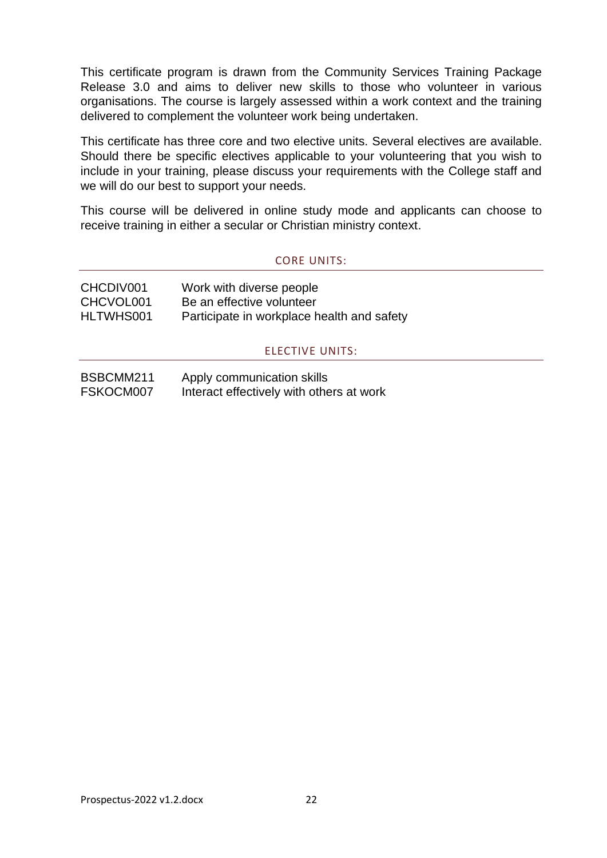This certificate program is drawn from the Community Services Training Package Release 3.0 and aims to deliver new skills to those who volunteer in various organisations. The course is largely assessed within a work context and the training delivered to complement the volunteer work being undertaken.

This certificate has three core and two elective units. Several electives are available. Should there be specific electives applicable to your volunteering that you wish to include in your training, please discuss your requirements with the College staff and we will do our best to support your needs.

This course will be delivered in online study mode and applicants can choose to receive training in either a secular or Christian ministry context.

#### CORE UNITS:

<span id="page-21-1"></span><span id="page-21-0"></span>

| CHCDIV001 | Work with diverse people                   |
|-----------|--------------------------------------------|
| CHCVOL001 | Be an effective volunteer                  |
| HLTWHS001 | Participate in workplace health and safety |

#### ELECTIVE UNITS:

| BSBCMM211 | Apply communication skills               |
|-----------|------------------------------------------|
| FSKOCM007 | Interact effectively with others at work |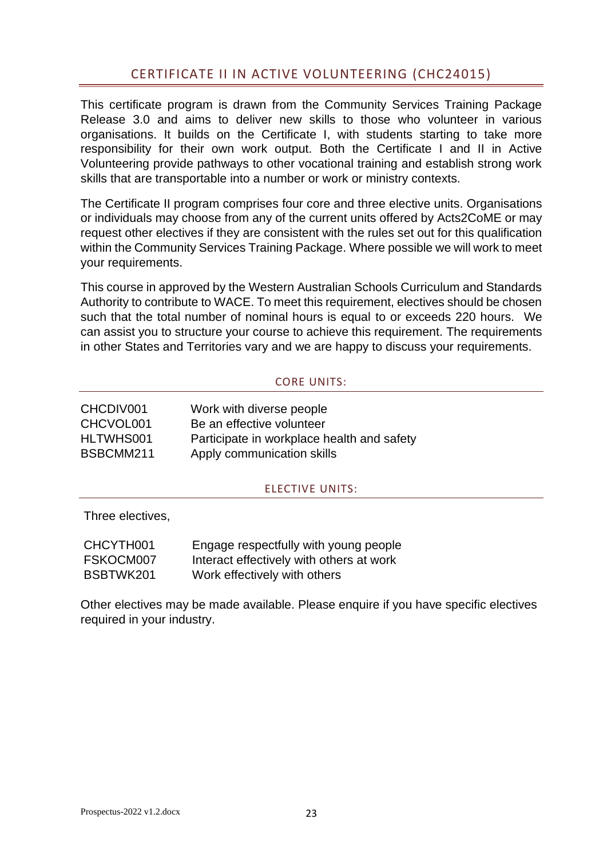# CERTIFICATE II IN ACTIVE VOLUNTEERING (CHC24015)

<span id="page-22-0"></span>This certificate program is drawn from the Community Services Training Package Release 3.0 and aims to deliver new skills to those who volunteer in various organisations. It builds on the Certificate I, with students starting to take more responsibility for their own work output. Both the Certificate I and II in Active Volunteering provide pathways to other vocational training and establish strong work skills that are transportable into a number or work or ministry contexts.

The Certificate II program comprises four core and three elective units. Organisations or individuals may choose from any of the current units offered by Acts2CoME or may request other electives if they are consistent with the rules set out for this qualification within the Community Services Training Package. Where possible we will work to meet your requirements.

This course in approved by the Western Australian Schools Curriculum and Standards Authority to contribute to WACE. To meet this requirement, electives should be chosen such that the total number of nominal hours is equal to or exceeds 220 hours. We can assist you to structure your course to achieve this requirement. The requirements in other States and Territories vary and we are happy to discuss your requirements.

#### CORE UNITS:

<span id="page-22-1"></span>

| CHCDIV001 | Work with diverse people                   |
|-----------|--------------------------------------------|
| CHCVOL001 | Be an effective volunteer                  |
| HLTWHS001 | Participate in workplace health and safety |
| BSBCMM211 | Apply communication skills                 |

#### ELECTIVE UNITS:

<span id="page-22-2"></span>Three electives,

| CHCYTH001 | Engage respectfully with young people    |
|-----------|------------------------------------------|
| FSKOCM007 | Interact effectively with others at work |
| BSBTWK201 | Work effectively with others             |

Other electives may be made available. Please enquire if you have specific electives required in your industry.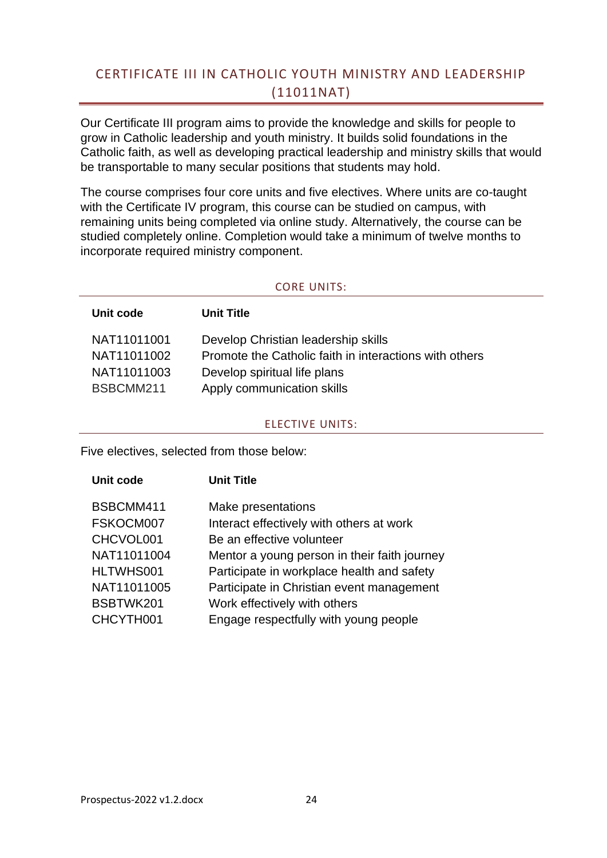# <span id="page-23-0"></span>CERTIFICATE III IN CATHOLIC YOUTH MINISTRY AND LEADERSHIP (11011NAT)

Our Certificate III program aims to provide the knowledge and skills for people to grow in Catholic leadership and youth ministry. It builds solid foundations in the Catholic faith, as well as developing practical leadership and ministry skills that would be transportable to many secular positions that students may hold.

The course comprises four core units and five electives. Where units are co-taught with the Certificate IV program, this course can be studied on campus, with remaining units being completed via online study. Alternatively, the course can be studied completely online. Completion would take a minimum of twelve months to incorporate required ministry component.

#### CORE UNITS:

<span id="page-23-1"></span>

| <b>Unit Title</b>                                      |
|--------------------------------------------------------|
| Develop Christian leadership skills                    |
| Promote the Catholic faith in interactions with others |
| Develop spiritual life plans                           |
| Apply communication skills                             |
|                                                        |

#### ELECTIVE UNITS:

<span id="page-23-2"></span>Five electives, selected from those below:

| Unit code   | <b>Unit Title</b>                            |
|-------------|----------------------------------------------|
| BSBCMM411   | Make presentations                           |
| FSKOCM007   | Interact effectively with others at work     |
| CHCVOL001   | Be an effective volunteer                    |
| NAT11011004 | Mentor a young person in their faith journey |
| HLTWHS001   | Participate in workplace health and safety   |
| NAT11011005 | Participate in Christian event management    |
| BSBTWK201   | Work effectively with others                 |
| CHCYTH001   | Engage respectfully with young people        |
|             |                                              |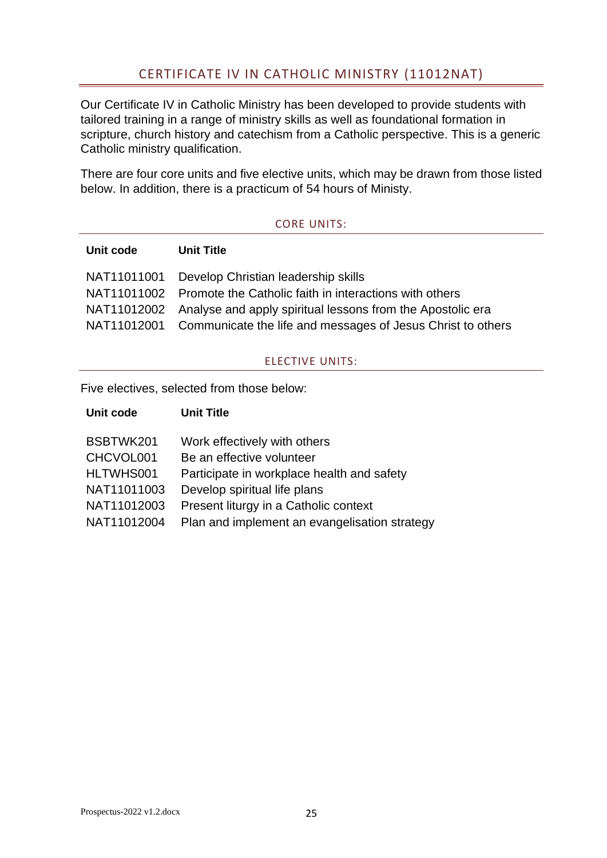# CERTIFICATE IV IN CATHOLIC MINISTRY (11012NAT)

<span id="page-24-0"></span>Our Certificate IV in Catholic Ministry has been developed to provide students with tailored training in a range of ministry skills as well as foundational formation in scripture, church history and catechism from a Catholic perspective. This is a generic Catholic ministry qualification.

There are four core units and five elective units, which may be drawn from those listed below. In addition, there is a practicum of 54 hours of Ministy.

#### CORE UNITS:

<span id="page-24-1"></span>

| <b>Unit code</b> | <b>Unit Title</b>                                                       |
|------------------|-------------------------------------------------------------------------|
|                  | NAT11011001 Develop Christian leadership skills                         |
|                  | NAT11011002 Promote the Catholic faith in interactions with others      |
|                  | NAT11012002 Analyse and apply spiritual lessons from the Apostolic era  |
|                  | NAT11012001 Communicate the life and messages of Jesus Christ to others |

#### ELECTIVE UNITS:

<span id="page-24-2"></span>Five electives, selected from those below:

| Unit code   | <b>Unit Title</b>                             |
|-------------|-----------------------------------------------|
|             |                                               |
| BSBTWK201   | Work effectively with others                  |
| CHCVOL001   | Be an effective volunteer                     |
| HLTWHS001   | Participate in workplace health and safety    |
| NAT11011003 | Develop spiritual life plans                  |
| NAT11012003 | Present liturgy in a Catholic context         |
| NAT11012004 | Plan and implement an evangelisation strategy |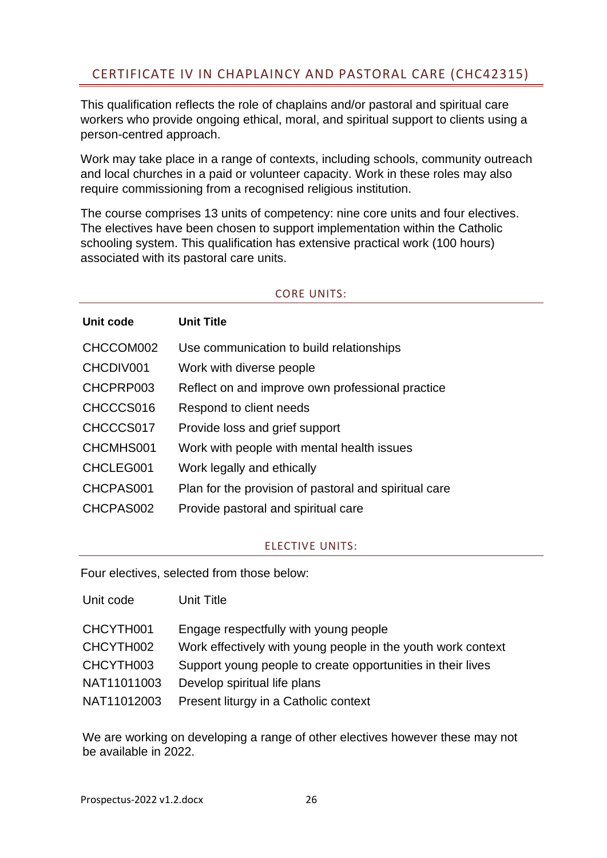<span id="page-25-0"></span>This qualification reflects the role of chaplains and/or pastoral and spiritual care workers who provide ongoing ethical, moral, and spiritual support to clients using a person-centred approach.

Work may take place in a range of contexts, including schools, community outreach and local churches in a paid or volunteer capacity. Work in these roles may also require commissioning from a recognised religious institution.

The course comprises 13 units of competency: nine core units and four electives. The electives have been chosen to support implementation within the Catholic schooling system. This qualification has extensive practical work (100 hours) associated with its pastoral care units.

# CORE UNITS:

<span id="page-25-1"></span>

| Unit code | <b>Unit Title</b>                                     |
|-----------|-------------------------------------------------------|
| CHCCOM002 | Use communication to build relationships              |
| CHCDIV001 | Work with diverse people                              |
| CHCPRP003 | Reflect on and improve own professional practice      |
| CHCCCS016 | Respond to client needs                               |
| CHCCCS017 | Provide loss and grief support                        |
| CHCMHS001 | Work with people with mental health issues            |
| CHCLEG001 | Work legally and ethically                            |
| CHCPAS001 | Plan for the provision of pastoral and spiritual care |
| CHCPAS002 | Provide pastoral and spiritual care                   |

# ELECTIVE UNITS:

<span id="page-25-2"></span>Four electives, selected from those below:

| Unit code   | Unit Title                                                   |
|-------------|--------------------------------------------------------------|
| CHCYTH001   | Engage respectfully with young people                        |
| CHCYTH002   | Work effectively with young people in the youth work context |
| CHCYTH003   | Support young people to create opportunities in their lives  |
| NAT11011003 | Develop spiritual life plans                                 |
| NAT11012003 | Present liturgy in a Catholic context                        |

We are working on developing a range of other electives however these may not be available in 2022.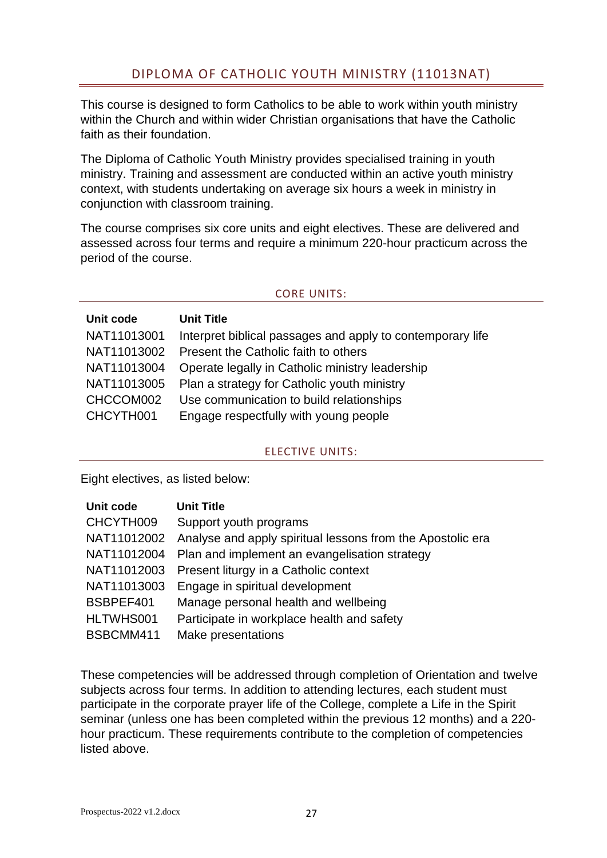<span id="page-26-0"></span>This course is designed to form Catholics to be able to work within youth ministry within the Church and within wider Christian organisations that have the Catholic faith as their foundation.

The Diploma of Catholic Youth Ministry provides specialised training in youth ministry. Training and assessment are conducted within an active youth ministry context, with students undertaking on average six hours a week in ministry in conjunction with classroom training.

The course comprises six core units and eight electives. These are delivered and assessed across four terms and require a minimum 220-hour practicum across the period of the course.

#### CORE UNITS:

<span id="page-26-1"></span>

| Unit code   | <b>Unit Title</b>                                          |
|-------------|------------------------------------------------------------|
| NAT11013001 | Interpret biblical passages and apply to contemporary life |
| NAT11013002 | Present the Catholic faith to others                       |
| NAT11013004 | Operate legally in Catholic ministry leadership            |
| NAT11013005 | Plan a strategy for Catholic youth ministry                |
| CHCCOM002   | Use communication to build relationships                   |
| CHCYTH001   | Engage respectfully with young people                      |

# ELECTIVE UNITS:

<span id="page-26-2"></span>Eight electives, as listed below:

| Unit code   | <b>Unit Title</b>                                          |
|-------------|------------------------------------------------------------|
| CHCYTH009   | Support youth programs                                     |
| NAT11012002 | Analyse and apply spiritual lessons from the Apostolic era |
| NAT11012004 | Plan and implement an evangelisation strategy              |
| NAT11012003 | Present liturgy in a Catholic context                      |
| NAT11013003 | Engage in spiritual development                            |
| BSBPEF401   | Manage personal health and wellbeing                       |
| HLTWHS001   | Participate in workplace health and safety                 |
| BSBCMM411   | Make presentations                                         |

These competencies will be addressed through completion of Orientation and twelve subjects across four terms. In addition to attending lectures, each student must participate in the corporate prayer life of the College, complete a Life in the Spirit seminar (unless one has been completed within the previous 12 months) and a 220 hour practicum. These requirements contribute to the completion of competencies listed above.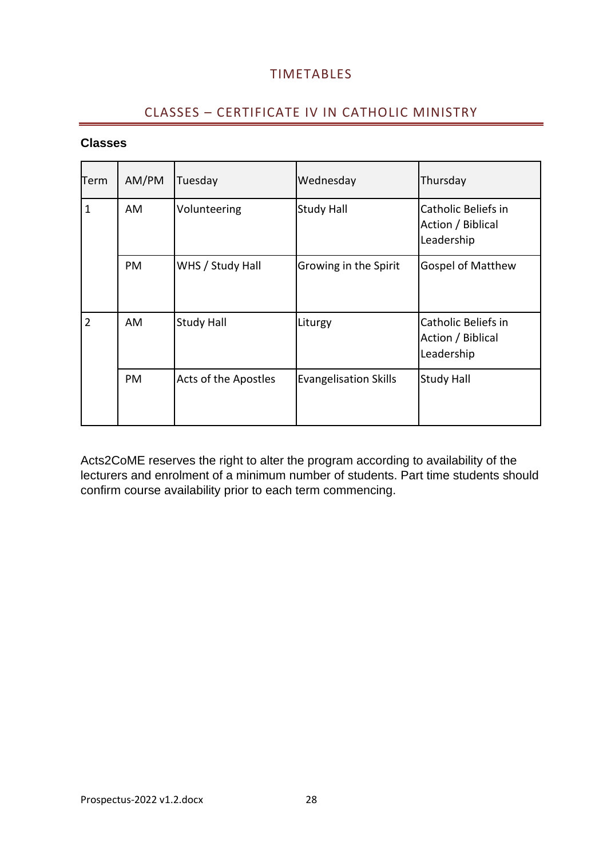# **TIMETABLES**

# CLASSES – CERTIFICATE IV IN CATHOLIC MINISTRY

# <span id="page-27-1"></span><span id="page-27-0"></span>**Classes**

| Term           | AM/PM     | Tuesday              | Wednesday                    | Thursday                                               |
|----------------|-----------|----------------------|------------------------------|--------------------------------------------------------|
| $\mathbf{1}$   | AM        | Volunteering         | <b>Study Hall</b>            | Catholic Beliefs in<br>Action / Biblical<br>Leadership |
|                | PM        | WHS / Study Hall     | Growing in the Spirit        | <b>Gospel of Matthew</b>                               |
| $\overline{2}$ | AM        | <b>Study Hall</b>    | Liturgy                      | Catholic Beliefs in<br>Action / Biblical<br>Leadership |
|                | <b>PM</b> | Acts of the Apostles | <b>Evangelisation Skills</b> | <b>Study Hall</b>                                      |

Acts2CoME reserves the right to alter the program according to availability of the lecturers and enrolment of a minimum number of students. Part time students should confirm course availability prior to each term commencing.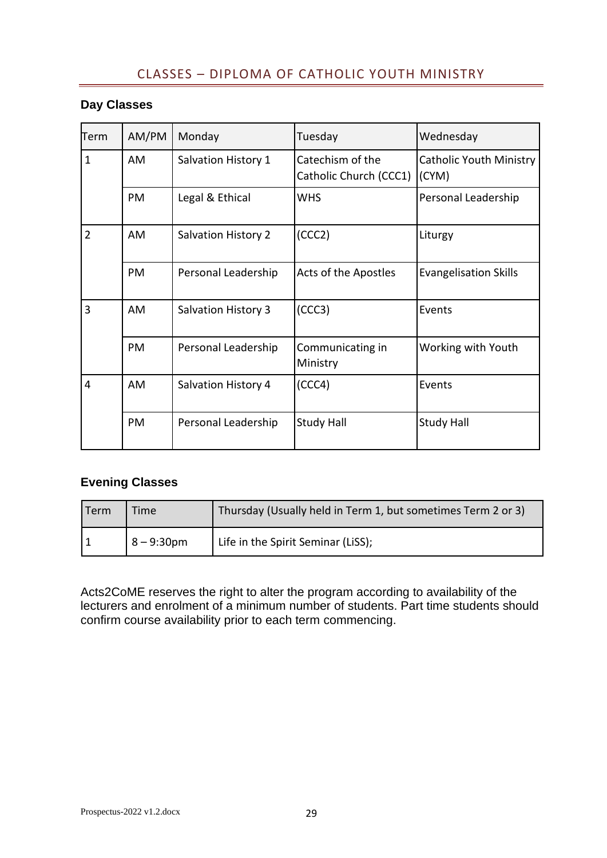# CLASSES – DIPLOMA OF CATHOLIC YOUTH MINISTRY

# <span id="page-28-0"></span>**Day Classes**

| Term           | AM/PM | Monday                     | Tuesday                                    | Wednesday                               |
|----------------|-------|----------------------------|--------------------------------------------|-----------------------------------------|
| $\mathbf{1}$   | AM    | Salvation History 1        | Catechism of the<br>Catholic Church (CCC1) | <b>Catholic Youth Ministry</b><br>(CYM) |
|                | PM    | Legal & Ethical            | <b>WHS</b>                                 | Personal Leadership                     |
| $\overline{2}$ | AM    | <b>Salvation History 2</b> | (CCC2)                                     | Liturgy                                 |
|                | PM    | Personal Leadership        | Acts of the Apostles                       | <b>Evangelisation Skills</b>            |
| 3              | AM    | <b>Salvation History 3</b> | (CCC3)                                     | Events                                  |
|                | PM    | Personal Leadership        | Communicating in<br>Ministry               | Working with Youth                      |
| 4              | AM    | <b>Salvation History 4</b> | (CCC4)                                     | Events                                  |
|                | PM    | Personal Leadership        | <b>Study Hall</b>                          | <b>Study Hall</b>                       |

# **Evening Classes**

| Term | Time          | Thursday (Usually held in Term 1, but sometimes Term 2 or 3) |
|------|---------------|--------------------------------------------------------------|
|      | $8 - 9:30$ pm | Life in the Spirit Seminar (LiSS);                           |

Acts2CoME reserves the right to alter the program according to availability of the lecturers and enrolment of a minimum number of students. Part time students should confirm course availability prior to each term commencing.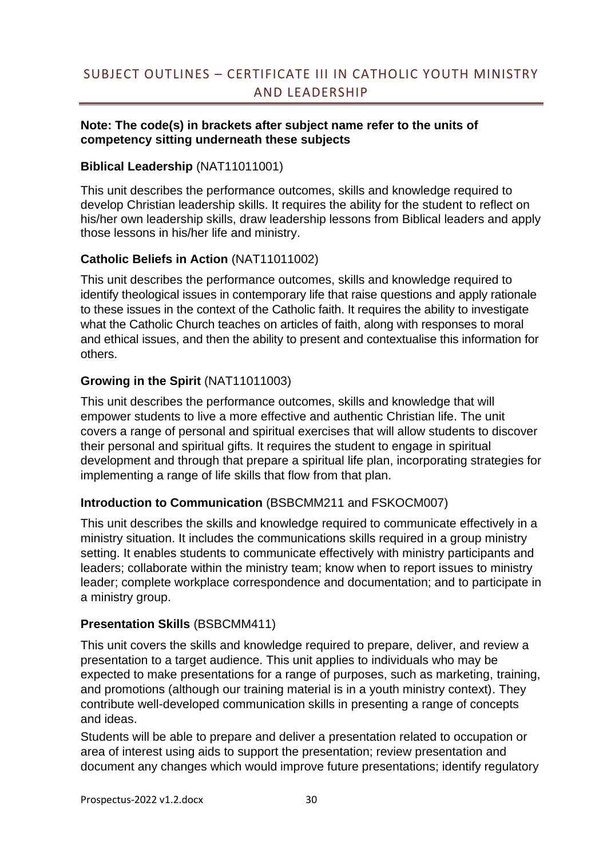# <span id="page-29-0"></span>SUBJECT OUTLINES – CERTIFICATE III IN CATHOLIC YOUTH MINISTRY AND LEADERSHIP

# **Note: The code(s) in brackets after subject name refer to the units of competency sitting underneath these subjects**

# **Biblical Leadership** (NAT11011001)

This unit describes the performance outcomes, skills and knowledge required to develop Christian leadership skills. It requires the ability for the student to reflect on his/her own leadership skills, draw leadership lessons from Biblical leaders and apply those lessons in his/her life and ministry.

# **Catholic Beliefs in Action** (NAT11011002)

This unit describes the performance outcomes, skills and knowledge required to identify theological issues in contemporary life that raise questions and apply rationale to these issues in the context of the Catholic faith. It requires the ability to investigate what the Catholic Church teaches on articles of faith, along with responses to moral and ethical issues, and then the ability to present and contextualise this information for others.

# **Growing in the Spirit** (NAT11011003)

This unit describes the performance outcomes, skills and knowledge that will empower students to live a more effective and authentic Christian life. The unit covers a range of personal and spiritual exercises that will allow students to discover their personal and spiritual gifts. It requires the student to engage in spiritual development and through that prepare a spiritual life plan, incorporating strategies for implementing a range of life skills that flow from that plan.

# **Introduction to Communication** (BSBCMM211 and FSKOCM007)

This unit describes the skills and knowledge required to communicate effectively in a ministry situation. It includes the communications skills required in a group ministry setting. It enables students to communicate effectively with ministry participants and leaders; collaborate within the ministry team; know when to report issues to ministry leader; complete workplace correspondence and documentation; and to participate in a ministry group.

# **Presentation Skills** (BSBCMM411)

This unit covers the skills and knowledge required to prepare, deliver, and review a presentation to a target audience. This unit applies to individuals who may be expected to make presentations for a range of purposes, such as marketing, training, and promotions (although our training material is in a youth ministry context). They contribute well-developed communication skills in presenting a range of concepts and ideas.

Students will be able to prepare and deliver a presentation related to occupation or area of interest using aids to support the presentation; review presentation and document any changes which would improve future presentations; identify regulatory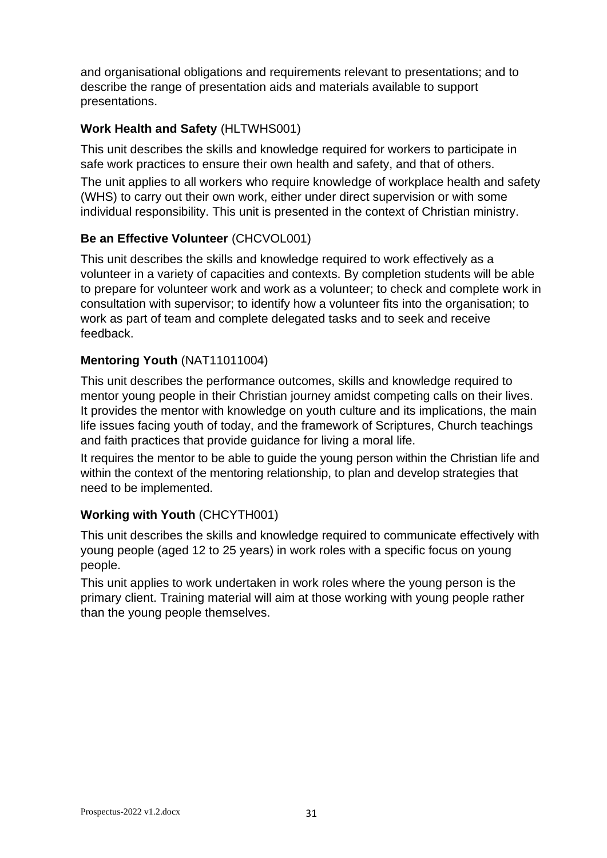and organisational obligations and requirements relevant to presentations; and to describe the range of presentation aids and materials available to support presentations.

# **Work Health and Safety** (HLTWHS001)

This unit describes the skills and knowledge required for workers to participate in safe work practices to ensure their own health and safety, and that of others.

The unit applies to all workers who require knowledge of workplace health and safety (WHS) to carry out their own work, either under direct supervision or with some individual responsibility. This unit is presented in the context of Christian ministry.

# **Be an Effective Volunteer** (CHCVOL001)

This unit describes the skills and knowledge required to work effectively as a volunteer in a variety of capacities and contexts. By completion students will be able to prepare for volunteer work and work as a volunteer; to check and complete work in consultation with supervisor; to identify how a volunteer fits into the organisation; to work as part of team and complete delegated tasks and to seek and receive feedback.

# **Mentoring Youth** (NAT11011004)

This unit describes the performance outcomes, skills and knowledge required to mentor young people in their Christian journey amidst competing calls on their lives. It provides the mentor with knowledge on youth culture and its implications, the main life issues facing youth of today, and the framework of Scriptures, Church teachings and faith practices that provide guidance for living a moral life.

It requires the mentor to be able to guide the young person within the Christian life and within the context of the mentoring relationship, to plan and develop strategies that need to be implemented.

# **Working with Youth** (CHCYTH001)

This unit describes the skills and knowledge required to communicate effectively with young people (aged 12 to 25 years) in work roles with a specific focus on young people.

<span id="page-30-0"></span>This unit applies to work undertaken in work roles where the young person is the primary client. Training material will aim at those working with young people rather than the young people themselves.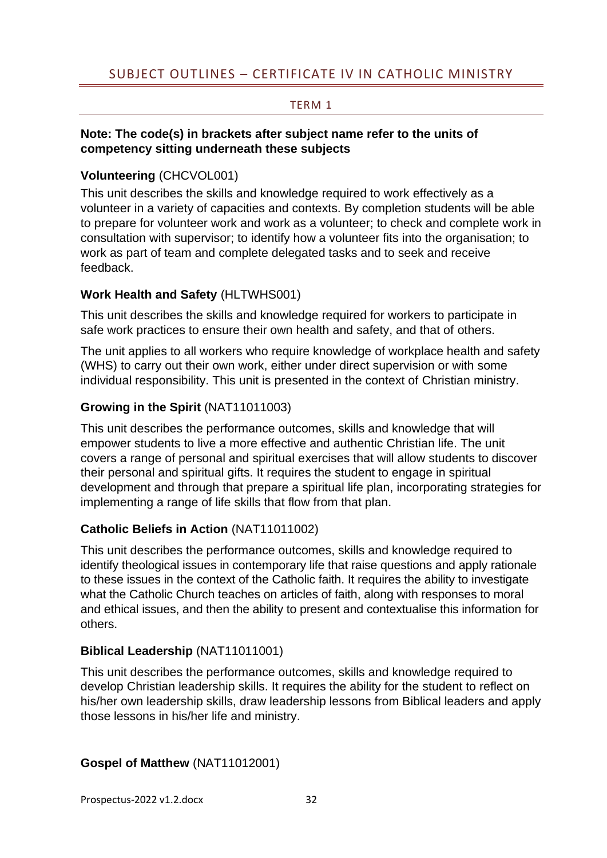# SUBJECT OUTLINES – CERTIFICATE IV IN CATHOLIC MINISTRY

# TERM 1

# <span id="page-31-0"></span>**Note: The code(s) in brackets after subject name refer to the units of competency sitting underneath these subjects**

# **Volunteering** (CHCVOL001)

This unit describes the skills and knowledge required to work effectively as a volunteer in a variety of capacities and contexts. By completion students will be able to prepare for volunteer work and work as a volunteer; to check and complete work in consultation with supervisor; to identify how a volunteer fits into the organisation; to work as part of team and complete delegated tasks and to seek and receive feedback.

# **Work Health and Safety** (HLTWHS001)

This unit describes the skills and knowledge required for workers to participate in safe work practices to ensure their own health and safety, and that of others.

The unit applies to all workers who require knowledge of workplace health and safety (WHS) to carry out their own work, either under direct supervision or with some individual responsibility. This unit is presented in the context of Christian ministry.

# **Growing in the Spirit** (NAT11011003)

This unit describes the performance outcomes, skills and knowledge that will empower students to live a more effective and authentic Christian life. The unit covers a range of personal and spiritual exercises that will allow students to discover their personal and spiritual gifts. It requires the student to engage in spiritual development and through that prepare a spiritual life plan, incorporating strategies for implementing a range of life skills that flow from that plan.

# **Catholic Beliefs in Action** (NAT11011002)

This unit describes the performance outcomes, skills and knowledge required to identify theological issues in contemporary life that raise questions and apply rationale to these issues in the context of the Catholic faith. It requires the ability to investigate what the Catholic Church teaches on articles of faith, along with responses to moral and ethical issues, and then the ability to present and contextualise this information for others.

# **Biblical Leadership** (NAT11011001)

This unit describes the performance outcomes, skills and knowledge required to develop Christian leadership skills. It requires the ability for the student to reflect on his/her own leadership skills, draw leadership lessons from Biblical leaders and apply those lessons in his/her life and ministry.

# **Gospel of Matthew** (NAT11012001)

Prospectus-2022 v1.2.docx 32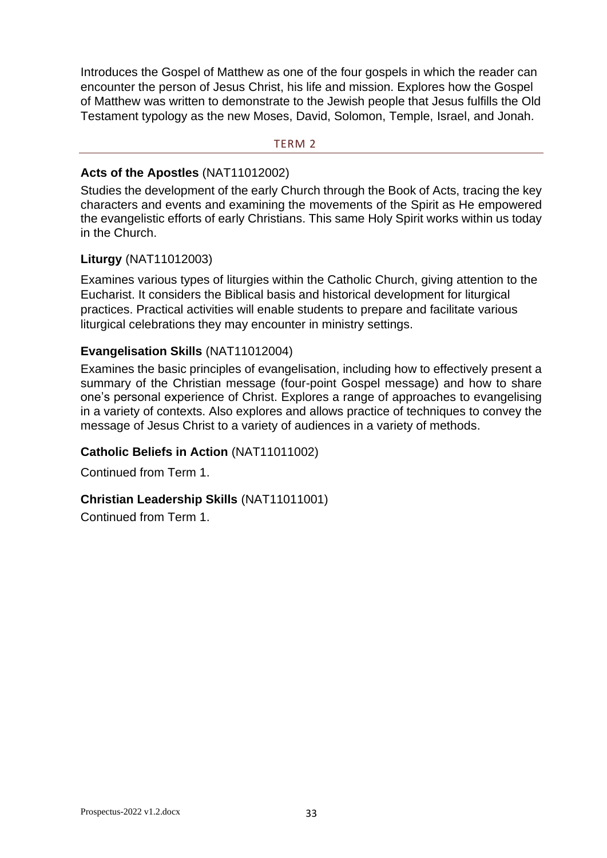Introduces the Gospel of Matthew as one of the four gospels in which the reader can encounter the person of Jesus Christ, his life and mission. Explores how the Gospel of Matthew was written to demonstrate to the Jewish people that Jesus fulfills the Old Testament typology as the new Moses, David, Solomon, Temple, Israel, and Jonah.

#### <span id="page-32-0"></span>TERM 2

# **Acts of the Apostles** (NAT11012002)

Studies the development of the early Church through the Book of Acts, tracing the key characters and events and examining the movements of the Spirit as He empowered the evangelistic efforts of early Christians. This same Holy Spirit works within us today in the Church.

# **Liturgy** (NAT11012003)

Examines various types of liturgies within the Catholic Church, giving attention to the Eucharist. It considers the Biblical basis and historical development for liturgical practices. Practical activities will enable students to prepare and facilitate various liturgical celebrations they may encounter in ministry settings.

# **Evangelisation Skills** (NAT11012004)

Examines the basic principles of evangelisation, including how to effectively present a summary of the Christian message (four-point Gospel message) and how to share one's personal experience of Christ. Explores a range of approaches to evangelising in a variety of contexts. Also explores and allows practice of techniques to convey the message of Jesus Christ to a variety of audiences in a variety of methods.

# **Catholic Beliefs in Action** (NAT11011002)

Continued from Term 1.

# **Christian Leadership Skills** (NAT11011001)

Continued from Term 1.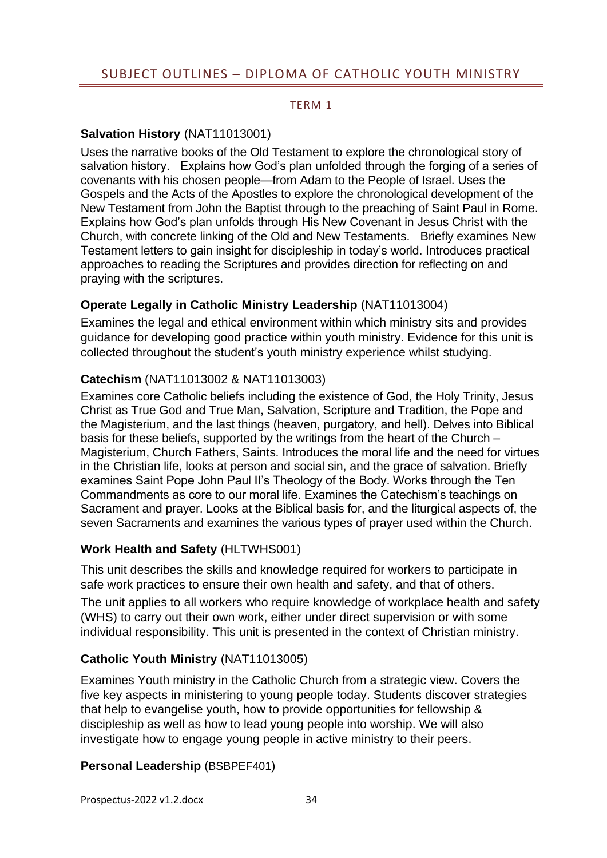#### TERM 1

# <span id="page-33-1"></span><span id="page-33-0"></span>**Salvation History** (NAT11013001)

Uses the narrative books of the Old Testament to explore the chronological story of salvation history. Explains how God's plan unfolded through the forging of a series of covenants with his chosen people—from Adam to the People of Israel. Uses the Gospels and the Acts of the Apostles to explore the chronological development of the New Testament from John the Baptist through to the preaching of Saint Paul in Rome. Explains how God's plan unfolds through His New Covenant in Jesus Christ with the Church, with concrete linking of the Old and New Testaments. Briefly examines New Testament letters to gain insight for discipleship in today's world. Introduces practical approaches to reading the Scriptures and provides direction for reflecting on and praying with the scriptures.

# **Operate Legally in Catholic Ministry Leadership** (NAT11013004)

Examines the legal and ethical environment within which ministry sits and provides guidance for developing good practice within youth ministry. Evidence for this unit is collected throughout the student's youth ministry experience whilst studying.

# **Catechism** (NAT11013002 & NAT11013003)

Examines core Catholic beliefs including the existence of God, the Holy Trinity, Jesus Christ as True God and True Man, Salvation, Scripture and Tradition, the Pope and the Magisterium, and the last things (heaven, purgatory, and hell). Delves into Biblical basis for these beliefs, supported by the writings from the heart of the Church – Magisterium, Church Fathers, Saints. Introduces the moral life and the need for virtues in the Christian life, looks at person and social sin, and the grace of salvation. Briefly examines Saint Pope John Paul II's Theology of the Body. Works through the Ten Commandments as core to our moral life. Examines the Catechism's teachings on Sacrament and prayer. Looks at the Biblical basis for, and the liturgical aspects of, the seven Sacraments and examines the various types of prayer used within the Church.

# **Work Health and Safety** (HLTWHS001)

This unit describes the skills and knowledge required for workers to participate in safe work practices to ensure their own health and safety, and that of others.

The unit applies to all workers who require knowledge of workplace health and safety (WHS) to carry out their own work, either under direct supervision or with some individual responsibility. This unit is presented in the context of Christian ministry.

# **Catholic Youth Ministry** (NAT11013005)

Examines Youth ministry in the Catholic Church from a strategic view. Covers the five key aspects in ministering to young people today. Students discover strategies that help to evangelise youth, how to provide opportunities for fellowship & discipleship as well as how to lead young people into worship. We will also investigate how to engage young people in active ministry to their peers.

# **Personal Leadership** (BSBPEF401)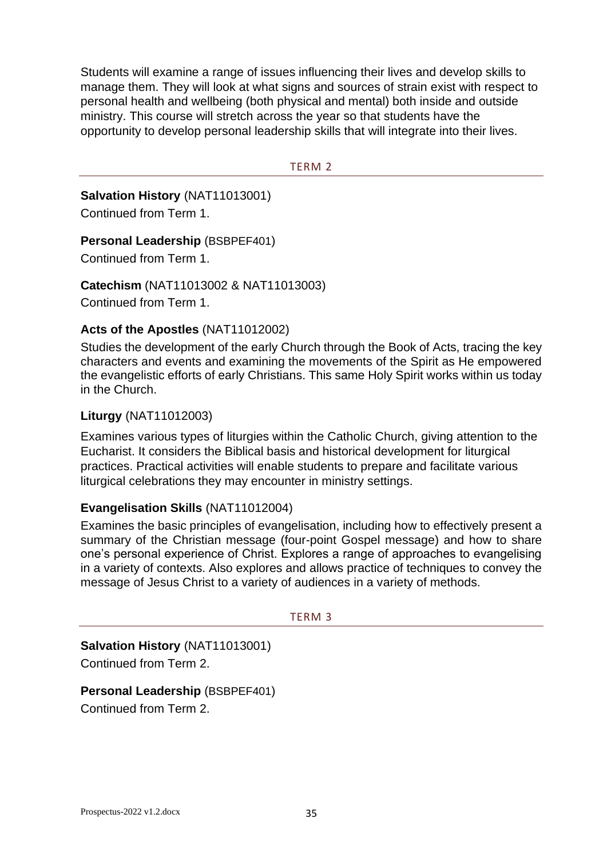Students will examine a range of issues influencing their lives and develop skills to manage them. They will look at what signs and sources of strain exist with respect to personal health and wellbeing (both physical and mental) both inside and outside ministry. This course will stretch across the year so that students have the opportunity to develop personal leadership skills that will integrate into their lives.

#### TERM 2

<span id="page-34-0"></span>**Salvation History** (NAT11013001) Continued from Term 1.

#### **Personal Leadership (BSBPEF401)**

Continued from Term 1.

**Catechism** (NAT11013002 & NAT11013003)

Continued from Term 1.

# **Acts of the Apostles** (NAT11012002)

Studies the development of the early Church through the Book of Acts, tracing the key characters and events and examining the movements of the Spirit as He empowered the evangelistic efforts of early Christians. This same Holy Spirit works within us today in the Church.

#### **Liturgy** (NAT11012003)

Examines various types of liturgies within the Catholic Church, giving attention to the Eucharist. It considers the Biblical basis and historical development for liturgical practices. Practical activities will enable students to prepare and facilitate various liturgical celebrations they may encounter in ministry settings.

#### **Evangelisation Skills** (NAT11012004)

Examines the basic principles of evangelisation, including how to effectively present a summary of the Christian message (four-point Gospel message) and how to share one's personal experience of Christ. Explores a range of approaches to evangelising in a variety of contexts. Also explores and allows practice of techniques to convey the message of Jesus Christ to a variety of audiences in a variety of methods.

#### TERM 3

<span id="page-34-1"></span>**Salvation History** (NAT11013001) Continued from Term 2.

# **Personal Leadership** (BSBPEF401)

Continued from Term 2.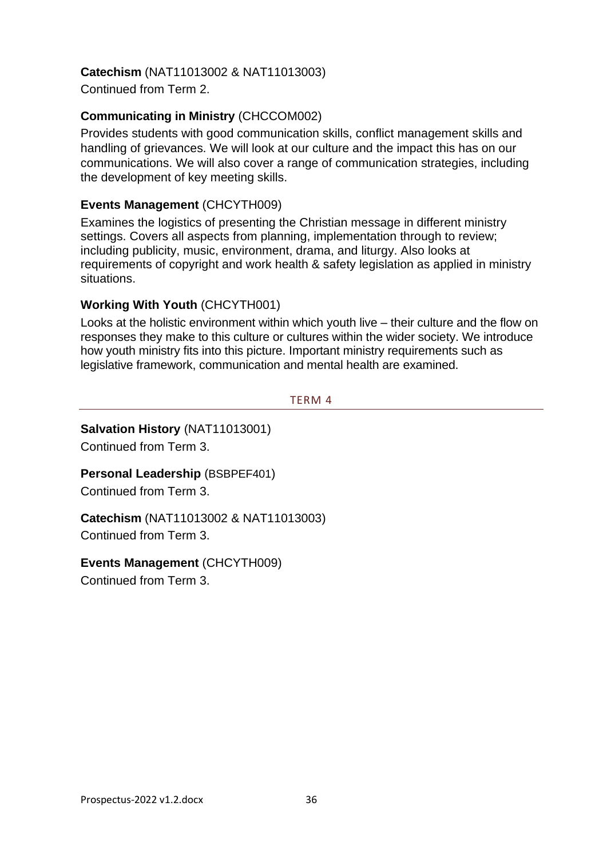# **Catechism** (NAT11013002 & NAT11013003)

Continued from Term 2.

# **Communicating in Ministry** (CHCCOM002)

Provides students with good communication skills, conflict management skills and handling of grievances. We will look at our culture and the impact this has on our communications. We will also cover a range of communication strategies, including the development of key meeting skills.

# **Events Management** (CHCYTH009)

Examines the logistics of presenting the Christian message in different ministry settings. Covers all aspects from planning, implementation through to review; including publicity, music, environment, drama, and liturgy. Also looks at requirements of copyright and work health & safety legislation as applied in ministry situations.

# **Working With Youth** (CHCYTH001)

Looks at the holistic environment within which youth live – their culture and the flow on responses they make to this culture or cultures within the wider society. We introduce how youth ministry fits into this picture. Important ministry requirements such as legislative framework, communication and mental health are examined.

#### TERM 4

# <span id="page-35-0"></span>**Salvation History** (NAT11013001)

Continued from Term 3.

# **Personal Leadership (BSBPEF401)**

Continued from Term 3.

**Catechism** (NAT11013002 & NAT11013003) Continued from Term 3.

# **Events Management** (CHCYTH009)

Continued from Term 3.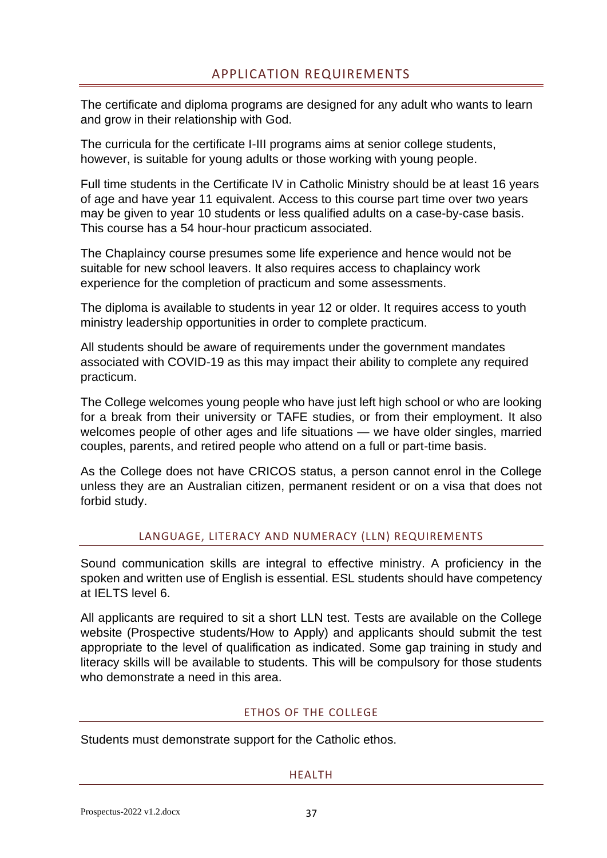<span id="page-36-0"></span>The certificate and diploma programs are designed for any adult who wants to learn and grow in their relationship with God.

The curricula for the certificate I-III programs aims at senior college students, however, is suitable for young adults or those working with young people.

Full time students in the Certificate IV in Catholic Ministry should be at least 16 years of age and have year 11 equivalent. Access to this course part time over two years may be given to year 10 students or less qualified adults on a case-by-case basis. This course has a 54 hour-hour practicum associated.

The Chaplaincy course presumes some life experience and hence would not be suitable for new school leavers. It also requires access to chaplaincy work experience for the completion of practicum and some assessments.

The diploma is available to students in year 12 or older. It requires access to youth ministry leadership opportunities in order to complete practicum.

All students should be aware of requirements under the government mandates associated with COVID-19 as this may impact their ability to complete any required practicum.

The College welcomes young people who have just left high school or who are looking for a break from their university or TAFE studies, or from their employment. It also welcomes people of other ages and life situations — we have older singles, married couples, parents, and retired people who attend on a full or part-time basis.

As the College does not have CRICOS status, a person cannot enrol in the College unless they are an Australian citizen, permanent resident or on a visa that does not forbid study.

# LANGUAGE, LITERACY AND NUMERACY (LLN) REQUIREMENTS

<span id="page-36-1"></span>Sound communication skills are integral to effective ministry. A proficiency in the spoken and written use of English is essential. ESL students should have competency at IELTS level 6.

All applicants are required to sit a short LLN test. Tests are available on the College website (Prospective students/How to Apply) and applicants should submit the test appropriate to the level of qualification as indicated. Some gap training in study and literacy skills will be available to students. This will be compulsory for those students who demonstrate a need in this area.

# ETHOS OF THE COLLEGE

<span id="page-36-3"></span><span id="page-36-2"></span>Students must demonstrate support for the Catholic ethos.

#### HEALTH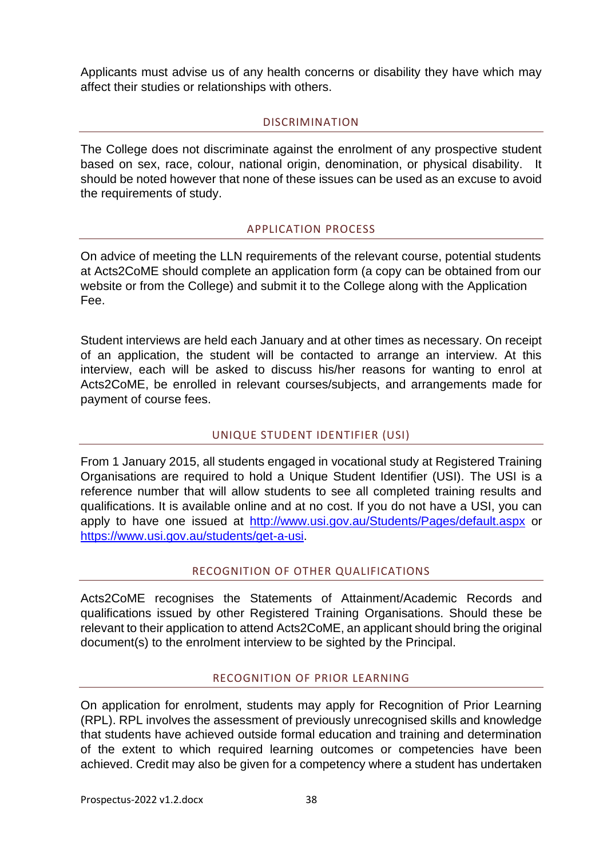Applicants must advise us of any health concerns or disability they have which may affect their studies or relationships with others.

# DISCRIMINATION

<span id="page-37-0"></span>The College does not discriminate against the enrolment of any prospective student based on sex, race, colour, national origin, denomination, or physical disability. should be noted however that none of these issues can be used as an excuse to avoid the requirements of study.

# APPLICATION PROCESS

<span id="page-37-1"></span>On advice of meeting the LLN requirements of the relevant course, potential students at Acts2CoME should complete an application form (a copy can be obtained from our website or from the College) and submit it to the College along with the Application Fee.

Student interviews are held each January and at other times as necessary. On receipt of an application, the student will be contacted to arrange an interview. At this interview, each will be asked to discuss his/her reasons for wanting to enrol at Acts2CoME, be enrolled in relevant courses/subjects, and arrangements made for payment of course fees.

# UNIQUE STUDENT IDENTIFIER (USI)

<span id="page-37-2"></span>From 1 January 2015, all students engaged in vocational study at Registered Training Organisations are required to hold a Unique Student Identifier (USI). The USI is a reference number that will allow students to see all completed training results and qualifications. It is available online and at no cost. If you do not have a USI, you can apply to have one issued at <http://www.usi.gov.au/Students/Pages/default.aspx> or [https://www.usi.gov.au/students/get-a-usi.](https://www.usi.gov.au/students/get-a-usi)

# RECOGNITION OF OTHER QUALIFICATIONS

<span id="page-37-3"></span>Acts2CoME recognises the Statements of Attainment/Academic Records and qualifications issued by other Registered Training Organisations. Should these be relevant to their application to attend Acts2CoME, an applicant should bring the original document(s) to the enrolment interview to be sighted by the Principal.

# RECOGNITION OF PRIOR LEARNING

<span id="page-37-4"></span>On application for enrolment, students may apply for Recognition of Prior Learning (RPL). RPL involves the assessment of previously unrecognised skills and knowledge that students have achieved outside formal education and training and determination of the extent to which required learning outcomes or competencies have been achieved. Credit may also be given for a competency where a student has undertaken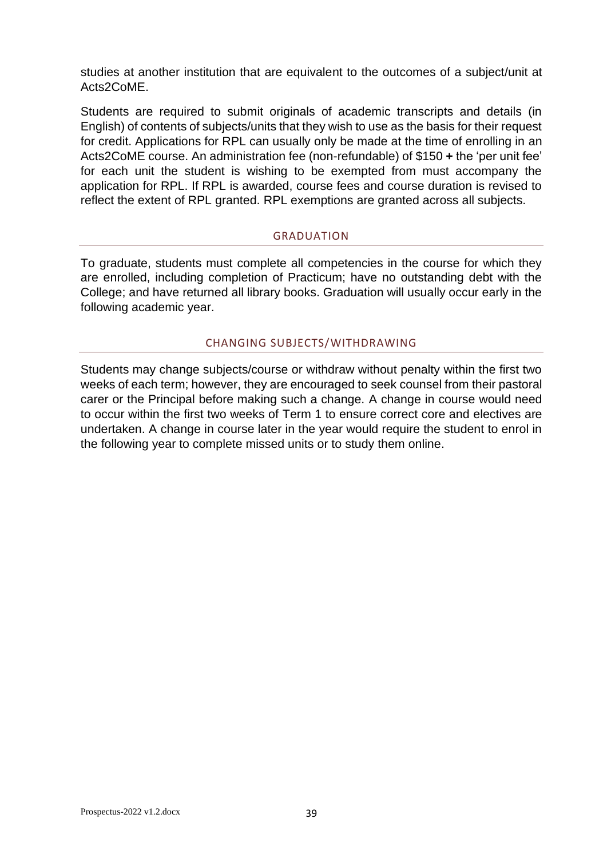studies at another institution that are equivalent to the outcomes of a subject/unit at Acts2CoME.

Students are required to submit originals of academic transcripts and details (in English) of contents of subjects/units that they wish to use as the basis for their request for credit. Applications for RPL can usually only be made at the time of enrolling in an Acts2CoME course. An administration fee (non-refundable) of \$150 **+** the 'per unit fee' for each unit the student is wishing to be exempted from must accompany the application for RPL. If RPL is awarded, course fees and course duration is revised to reflect the extent of RPL granted. RPL exemptions are granted across all subjects.

#### GRADUATION

<span id="page-38-0"></span>To graduate, students must complete all competencies in the course for which they are enrolled, including completion of Practicum; have no outstanding debt with the College; and have returned all library books. Graduation will usually occur early in the following academic year.

#### CHANGING SUBJECTS/WITHDRAWING

<span id="page-38-1"></span>Students may change subjects/course or withdraw without penalty within the first two weeks of each term; however, they are encouraged to seek counsel from their pastoral carer or the Principal before making such a change. A change in course would need to occur within the first two weeks of Term 1 to ensure correct core and electives are undertaken. A change in course later in the year would require the student to enrol in the following year to complete missed units or to study them online.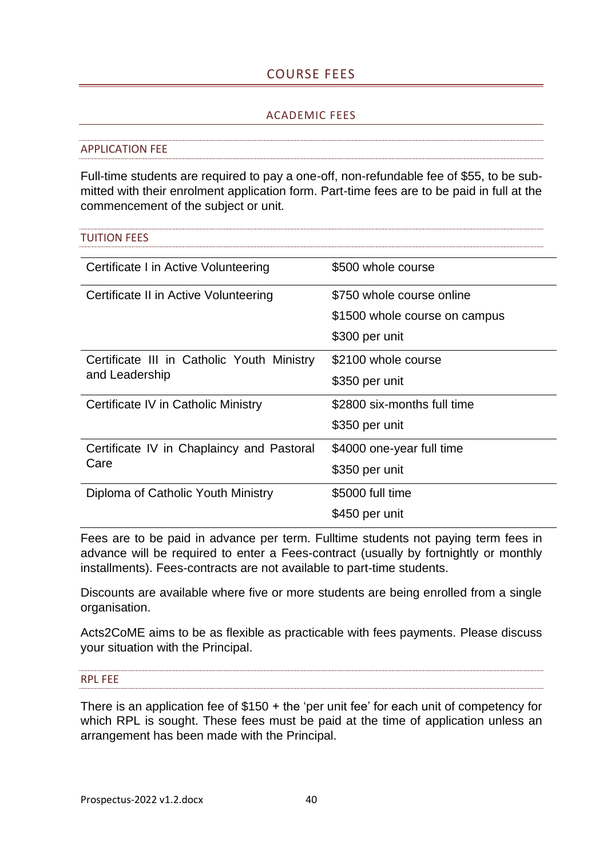# COURSE FEES

#### ACADEMIC FEES

#### <span id="page-39-2"></span><span id="page-39-1"></span><span id="page-39-0"></span>APPLICATION FEE

Full-time students are required to pay a one-off, non-refundable fee of \$55, to be submitted with their enrolment application form. Part-time fees are to be paid in full at the commencement of the subject or unit.

<span id="page-39-3"></span>

| <b>TUITION FEES</b>                        |                               |
|--------------------------------------------|-------------------------------|
| Certificate I in Active Volunteering       | \$500 whole course            |
| Certificate II in Active Volunteering      | \$750 whole course online     |
|                                            | \$1500 whole course on campus |
|                                            | \$300 per unit                |
| Certificate III in Catholic Youth Ministry | \$2100 whole course           |
| and Leadership                             | \$350 per unit                |
| Certificate IV in Catholic Ministry        | \$2800 six-months full time   |
|                                            | \$350 per unit                |
| Certificate IV in Chaplaincy and Pastoral  | \$4000 one-year full time     |
| Care                                       | \$350 per unit                |
| Diploma of Catholic Youth Ministry         | \$5000 full time              |
|                                            | \$450 per unit                |

Fees are to be paid in advance per term. Fulltime students not paying term fees in advance will be required to enter a Fees-contract (usually by fortnightly or monthly installments). Fees-contracts are not available to part-time students.

Discounts are available where five or more students are being enrolled from a single organisation.

Acts2CoME aims to be as flexible as practicable with fees payments. Please discuss your situation with the Principal.

<span id="page-39-4"></span>RPL FEE

<span id="page-39-5"></span>There is an application fee of \$150 + the 'per unit fee' for each unit of competency for which RPL is sought. These fees must be paid at the time of application unless an arrangement has been made with the Principal.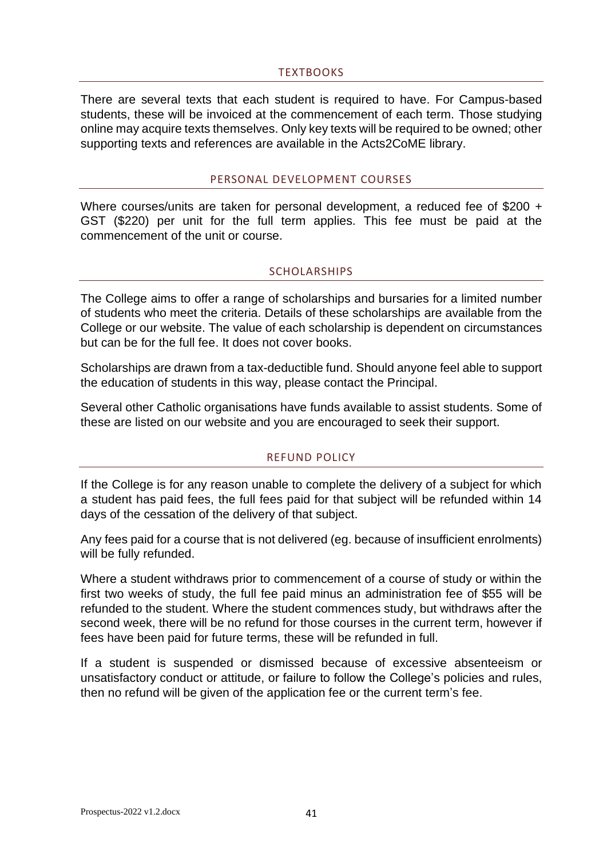#### TEXTBOOKS

There are several texts that each student is required to have. For Campus-based students, these will be invoiced at the commencement of each term. Those studying online may acquire texts themselves. Only key texts will be required to be owned; other supporting texts and references are available in the Acts2CoME library.

#### PERSONAL DEVELOPMENT COURSES

<span id="page-40-0"></span>Where courses/units are taken for personal development, a reduced fee of \$200 + GST (\$220) per unit for the full term applies. This fee must be paid at the commencement of the unit or course.

#### **SCHOLARSHIPS**

<span id="page-40-1"></span>The College aims to offer a range of scholarships and bursaries for a limited number of students who meet the criteria. Details of these scholarships are available from the College or our website. The value of each scholarship is dependent on circumstances but can be for the full fee. It does not cover books.

Scholarships are drawn from a tax-deductible fund. Should anyone feel able to support the education of students in this way, please contact the Principal.

<span id="page-40-2"></span>Several other Catholic organisations have funds available to assist students. Some of these are listed on our website and you are encouraged to seek their support.

#### REFUND POLICY

If the College is for any reason unable to complete the delivery of a subject for which a student has paid fees, the full fees paid for that subject will be refunded within 14 days of the cessation of the delivery of that subject.

Any fees paid for a course that is not delivered (eg. because of insufficient enrolments) will be fully refunded.

Where a student withdraws prior to commencement of a course of study or within the first two weeks of study, the full fee paid minus an administration fee of \$55 will be refunded to the student. Where the student commences study, but withdraws after the second week, there will be no refund for those courses in the current term, however if fees have been paid for future terms, these will be refunded in full.

If a student is suspended or dismissed because of excessive absenteeism or unsatisfactory conduct or attitude, or failure to follow the College's policies and rules, then no refund will be given of the application fee or the current term's fee.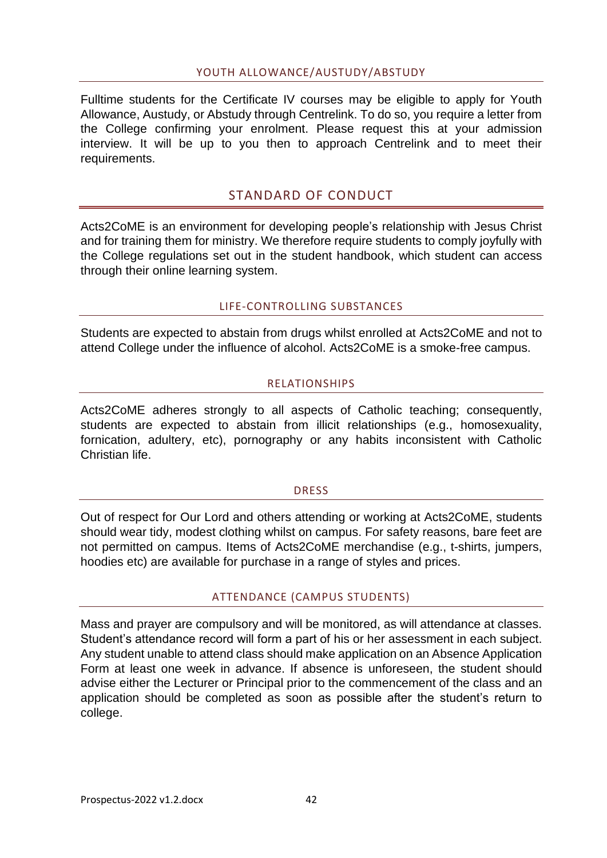#### YOUTH ALLOWANCE/AUSTUDY/ABSTUDY

<span id="page-41-0"></span>Fulltime students for the Certificate IV courses may be eligible to apply for Youth Allowance, Austudy, or Abstudy through Centrelink. To do so, you require a letter from the College confirming your enrolment. Please request this at your admission interview. It will be up to you then to approach Centrelink and to meet their requirements.

# STANDARD OF CONDUCT

<span id="page-41-1"></span>Acts2CoME is an environment for developing people's relationship with Jesus Christ and for training them for ministry. We therefore require students to comply joyfully with the College regulations set out in the student handbook, which student can access through their online learning system.

# LIFE-CONTROLLING SUBSTANCES

<span id="page-41-3"></span><span id="page-41-2"></span>Students are expected to abstain from drugs whilst enrolled at Acts2CoME and not to attend College under the influence of alcohol. Acts2CoME is a smoke-free campus.

#### RELATIONSHIPS

Acts2CoME adheres strongly to all aspects of Catholic teaching; consequently, students are expected to abstain from illicit relationships (e.g., homosexuality, fornication, adultery, etc), pornography or any habits inconsistent with Catholic Christian life.

#### **DRESS**

<span id="page-41-4"></span>Out of respect for Our Lord and others attending or working at Acts2CoME, students should wear tidy, modest clothing whilst on campus. For safety reasons, bare feet are not permitted on campus. Items of Acts2CoME merchandise (e.g., t-shirts, jumpers, hoodies etc) are available for purchase in a range of styles and prices.

#### ATTENDANCE (CAMPUS STUDENTS)

<span id="page-41-5"></span>Mass and prayer are compulsory and will be monitored, as will attendance at classes. Student's attendance record will form a part of his or her assessment in each subject. Any student unable to attend class should make application on an Absence Application Form at least one week in advance. If absence is unforeseen, the student should advise either the Lecturer or Principal prior to the commencement of the class and an application should be completed as soon as possible after the student's return to college.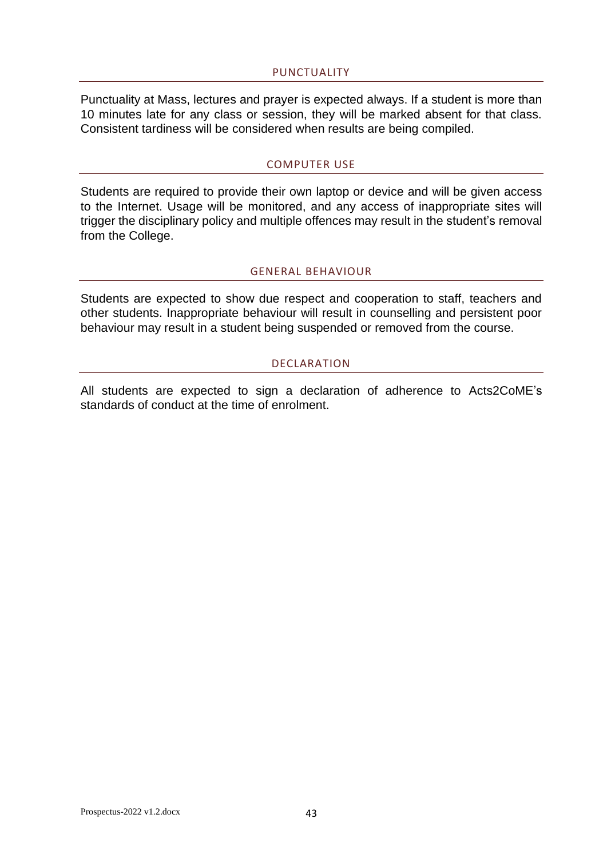#### PUNCTUALITY

<span id="page-42-0"></span>Punctuality at Mass, lectures and prayer is expected always. If a student is more than 10 minutes late for any class or session, they will be marked absent for that class. Consistent tardiness will be considered when results are being compiled.

#### COMPUTER USE

<span id="page-42-1"></span>Students are required to provide their own laptop or device and will be given access to the Internet. Usage will be monitored, and any access of inappropriate sites will trigger the disciplinary policy and multiple offences may result in the student's removal from the College.

#### GENERAL BEHAVIOUR

<span id="page-42-2"></span>Students are expected to show due respect and cooperation to staff, teachers and other students. Inappropriate behaviour will result in counselling and persistent poor behaviour may result in a student being suspended or removed from the course.

#### DECLARATION

<span id="page-42-3"></span>All students are expected to sign a declaration of adherence to Acts2CoME's standards of conduct at the time of enrolment.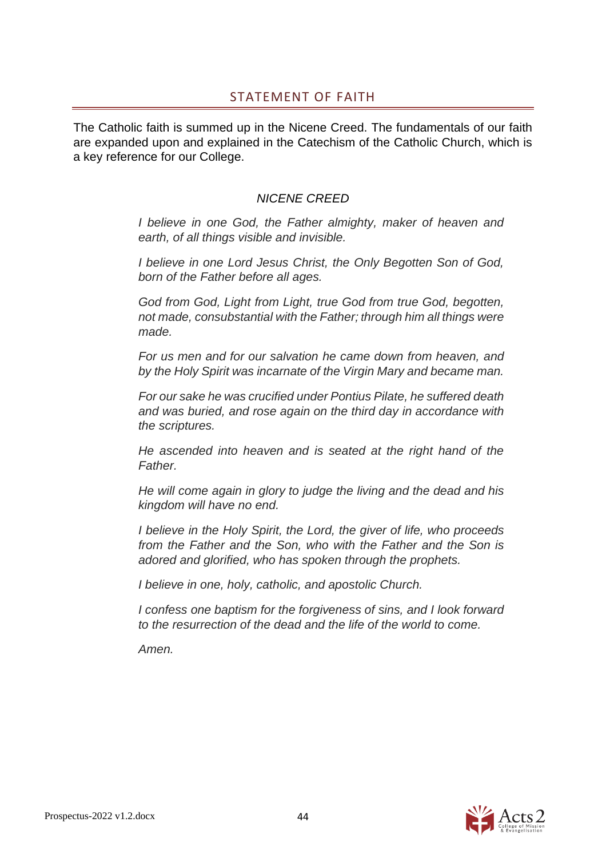# STATEMENT OF FAITH

<span id="page-43-0"></span>The Catholic faith is summed up in the Nicene Creed. The fundamentals of our faith are expanded upon and explained in the Catechism of the Catholic Church, which is a key reference for our College.

# *NICENE CREED*

*I believe in one God, the Father almighty, maker of heaven and earth, of all things visible and invisible.*

*I believe in one Lord Jesus Christ, the Only Begotten Son of God, born of the Father before all ages.*

*God from God, Light from Light, true God from true God, begotten, not made, consubstantial with the Father; through him all things were made.*

*For us men and for our salvation he came down from heaven, and by the Holy Spirit was incarnate of the Virgin Mary and became man.*

*For our sake he was crucified under Pontius Pilate, he suffered death and was buried, and rose again on the third day in accordance with the scriptures.*

*He ascended into heaven and is seated at the right hand of the Father.*

*He will come again in glory to judge the living and the dead and his kingdom will have no end.*

*I believe in the Holy Spirit, the Lord, the giver of life, who proceeds from the Father and the Son, who with the Father and the Son is adored and glorified, who has spoken through the prophets.*

*I believe in one, holy, catholic, and apostolic Church.*

*I confess one baptism for the forgiveness of sins, and I look forward to the resurrection of the dead and the life of the world to come.*

*Amen.*

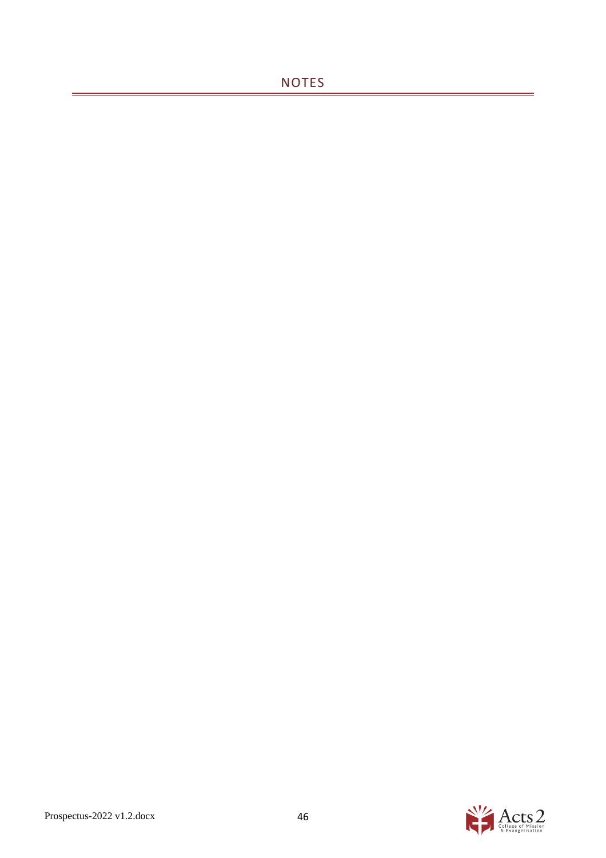